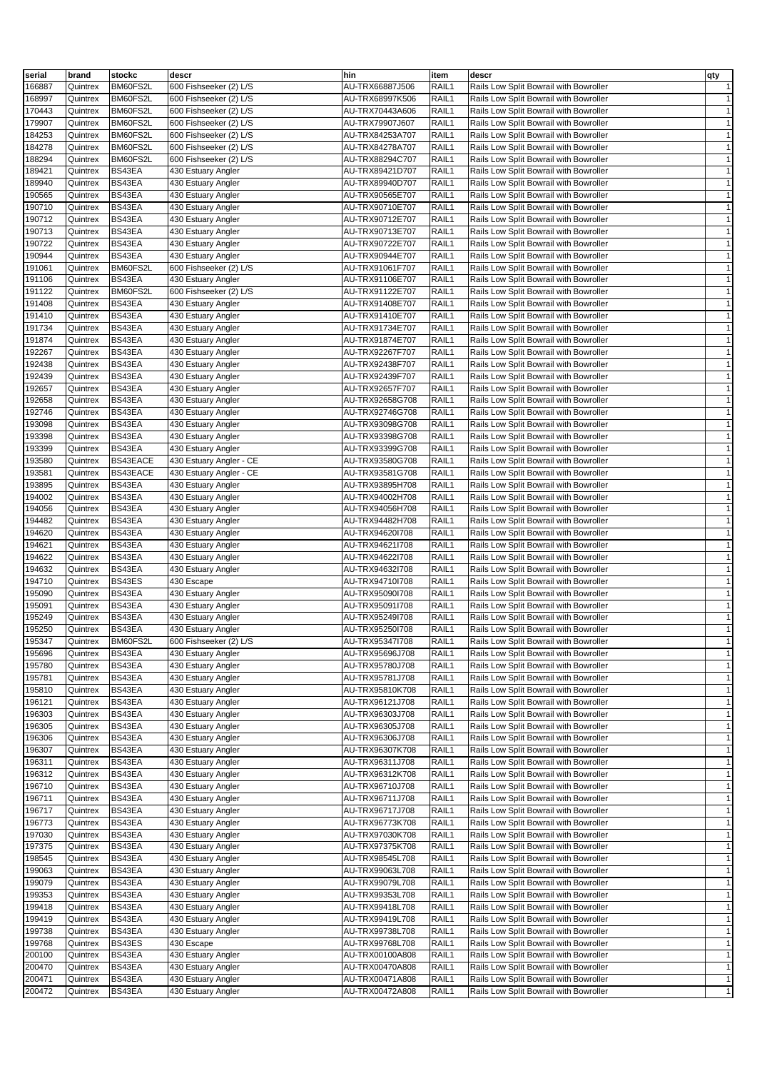| serial           | brand                | stockc           | descr                                    | hin                                | item           | descr                                                                            | qty                          |
|------------------|----------------------|------------------|------------------------------------------|------------------------------------|----------------|----------------------------------------------------------------------------------|------------------------------|
| 166887           | Quintrex             | BM60FS2L         | 600 Fishseeker (2) L/S                   | AU-TRX66887J506                    | RAIL1          | Rails Low Split Bowrail with Bowroller                                           | $\mathbf{1}$                 |
| 168997           | Quintrex             | BM60FS2L         | 600 Fishseeker (2) L/S                   | AU-TRX68997K506                    | RAIL1          | Rails Low Split Bowrail with Bowroller                                           | $\mathbf{1}$                 |
| 170443           | Quintrex             | BM60FS2L         | 600 Fishseeker (2) L/S                   | AU-TRX70443A606                    | RAIL1          | Rails Low Split Bowrail with Bowroller                                           | $\mathbf{1}$                 |
| 179907           | Quintrex             | BM60FS2L         | 600 Fishseeker (2) L/S                   | AU-TRX79907J607                    | RAIL1          | Rails Low Split Bowrail with Bowroller                                           | $\mathbf{1}$                 |
| 184253           | Quintrex             | BM60FS2L         | 600 Fishseeker (2) L/S                   | AU-TRX84253A707                    | RAIL1          | Rails Low Split Bowrail with Bowroller                                           | $\mathbf{1}$                 |
| 184278           | Quintrex             | BM60FS2L         | 600 Fishseeker (2) L/S                   | AU-TRX84278A707                    | RAIL1          | Rails Low Split Bowrail with Bowroller                                           | $\mathbf{1}$                 |
| 188294           | Quintrex             | BM60FS2L         | 600 Fishseeker (2) L/S                   | AU-TRX88294C707                    | RAIL1          | Rails Low Split Bowrail with Bowroller                                           | $\mathbf{1}$                 |
| 189421           | Quintrex             | BS43EA           | 430 Estuary Angler                       | AU-TRX89421D707                    | RAIL1          | Rails Low Split Bowrail with Bowroller                                           | $\mathbf{1}$                 |
| 189940           | Quintrex             | BS43EA           | 430 Estuary Angler                       | AU-TRX89940D707                    | RAIL1          | Rails Low Split Bowrail with Bowroller                                           | $\mathbf{1}$                 |
| 190565           | Quintrex             | BS43EA           | 430 Estuary Angler                       | AU-TRX90565E707                    | RAIL1          | Rails Low Split Bowrail with Bowroller                                           | $\mathbf{1}$                 |
| 190710           | Quintrex             | BS43EA           | 430 Estuary Angler                       | AU-TRX90710E707                    | RAIL1          | Rails Low Split Bowrail with Bowroller                                           | $\mathbf{1}$                 |
| 190712           | Quintrex             | BS43EA           | 430 Estuary Angler                       | AU-TRX90712E707                    | RAIL1          | Rails Low Split Bowrail with Bowroller                                           | $\mathbf{1}$                 |
| 190713           | Quintrex             | BS43EA           | 430 Estuary Angler                       | AU-TRX90713E707                    | RAIL1          | Rails Low Split Bowrail with Bowroller                                           | $\mathbf{1}$                 |
| 190722           | Quintrex             | BS43EA           | 430 Estuary Angler                       | AU-TRX90722E707                    | RAIL1          | Rails Low Split Bowrail with Bowroller                                           | $\mathbf{1}$                 |
| 190944           | Quintrex             | BS43EA           | 430 Estuary Angler                       | AU-TRX90944E707                    | RAIL1          | Rails Low Split Bowrail with Bowroller                                           | $\mathbf{1}$                 |
| 191061           | Quintrex             | BM60FS2L         | 600 Fishseeker (2) L/S                   | AU-TRX91061F707                    | RAIL1          | Rails Low Split Bowrail with Bowroller                                           | $\mathbf{1}$                 |
| 191106           | Quintrex             | BS43EA           | 430 Estuary Angler                       | AU-TRX91106E707                    | RAIL1          | Rails Low Split Bowrail with Bowroller                                           | $\mathbf{1}$                 |
| 191122           | Quintrex             | BM60FS2L         | 600 Fishseeker (2) L/S                   | AU-TRX91122E707                    | RAIL1          | Rails Low Split Bowrail with Bowroller                                           | $\mathbf{1}$                 |
| 191408           | Quintrex             | BS43EA           | 430 Estuary Angler                       | AU-TRX91408E707                    | RAIL1          | Rails Low Split Bowrail with Bowroller                                           | $\mathbf{1}$                 |
| 191410           | Quintrex             | BS43EA           | 430 Estuary Angler                       | AU-TRX91410E707                    | RAIL1          | Rails Low Split Bowrail with Bowroller                                           | $\mathbf{1}$                 |
| 191734           | Quintrex             | BS43EA           | 430 Estuary Angler                       | AU-TRX91734E707                    | RAIL1          | Rails Low Split Bowrail with Bowroller                                           | $\mathbf{1}$                 |
| 191874           | Quintrex             | BS43EA           | 430 Estuary Angler                       | AU-TRX91874E707                    | RAIL1          | Rails Low Split Bowrail with Bowroller                                           | $\mathbf{1}$                 |
| 192267           | Quintrex             | BS43EA           | 430 Estuary Angler                       | AU-TRX92267F707                    | RAIL1          | Rails Low Split Bowrail with Bowroller                                           | $\mathbf{1}$                 |
| 192438           | Quintrex             | BS43EA           | 430 Estuary Angler                       | AU-TRX92438F707                    | RAIL1          | Rails Low Split Bowrail with Bowroller                                           | $\mathbf{1}$                 |
| 192439           | Quintrex             | BS43EA           | 430 Estuary Angler                       | AU-TRX92439F707                    | RAIL1          | Rails Low Split Bowrail with Bowroller                                           | $\mathbf{1}$                 |
| 192657           | Quintrex             | BS43EA           | 430 Estuary Angler                       | AU-TRX92657F707                    | RAIL1          | Rails Low Split Bowrail with Bowroller                                           | $\mathbf{1}$                 |
| 192658           | Quintrex             | BS43EA           | 430 Estuary Angler                       | AU-TRX92658G708                    | RAIL1          | Rails Low Split Bowrail with Bowroller                                           | $\mathbf{1}$                 |
| 192746           | Quintrex             | BS43EA           | 430 Estuary Angler                       | AU-TRX92746G708                    | RAIL1          | Rails Low Split Bowrail with Bowroller                                           | $\mathbf{1}$                 |
| 193098           | Quintrex             | BS43EA           | 430 Estuary Angler                       | AU-TRX93098G708                    | RAIL1          | Rails Low Split Bowrail with Bowroller                                           | $\mathbf{1}$                 |
| 193398           | Quintrex             | BS43EA           | 430 Estuary Angler                       | AU-TRX93398G708                    | RAIL1          | Rails Low Split Bowrail with Bowroller                                           | $\mathbf{1}$                 |
| 193399           | Quintrex             | BS43EA           | 430 Estuary Angler                       | AU-TRX93399G708                    | RAIL1          | Rails Low Split Bowrail with Bowroller                                           | $\mathbf{1}$                 |
| 193580           | Quintrex             | BS43EACE         | 430 Estuary Angler - CE                  | AU-TRX93580G708                    | RAIL1          | Rails Low Split Bowrail with Bowroller                                           | $\mathbf{1}$                 |
| 193581           | Quintrex             | BS43EACE         | 430 Estuary Angler - CE                  | AU-TRX93581G708                    | RAIL1          | Rails Low Split Bowrail with Bowroller                                           | $\mathbf{1}$                 |
| 193895           | Quintrex             | BS43EA           | 430 Estuary Angler                       | AU-TRX93895H708                    | RAIL1          | Rails Low Split Bowrail with Bowroller                                           | $\mathbf{1}$                 |
| 194002           | Quintrex             | BS43EA           | 430 Estuary Angler                       | AU-TRX94002H708                    | RAIL1          | Rails Low Split Bowrail with Bowroller                                           | $\mathbf{1}$                 |
| 194056           | Quintrex             | BS43EA           | 430 Estuary Angler                       | AU-TRX94056H708                    | RAIL1          | Rails Low Split Bowrail with Bowroller                                           | $\mathbf{1}$                 |
| 194482           | Quintrex             | BS43EA           | 430 Estuary Angler                       | AU-TRX94482H708                    | RAIL1          | Rails Low Split Bowrail with Bowroller                                           | $\mathbf{1}$                 |
| 194620           | Quintrex             | BS43EA           | 430 Estuary Angler                       | AU-TRX94620I708                    | RAIL1          | Rails Low Split Bowrail with Bowroller                                           | $\mathbf{1}$                 |
| 194621           | Quintrex             | BS43EA           | 430 Estuary Angler                       | AU-TRX94621l708                    | RAIL1          | Rails Low Split Bowrail with Bowroller                                           | $\mathbf{1}$                 |
| 194622           | Quintrex             | BS43EA<br>BS43EA | 430 Estuary Angler                       | AU-TRX94622l708                    | RAIL1          | Rails Low Split Bowrail with Bowroller                                           | $\mathbf{1}$<br>$\mathbf{1}$ |
| 194632<br>194710 | Quintrex             |                  | 430 Estuary Angler                       | AU-TRX94632l708                    | RAIL1<br>RAIL1 | Rails Low Split Bowrail with Bowroller                                           | $\mathbf{1}$                 |
| 195090           | Quintrex             | BS43ES<br>BS43EA | 430 Escape                               | AU-TRX94710I708<br>AU-TRX95090I708 | RAIL1          | Rails Low Split Bowrail with Bowroller<br>Rails Low Split Bowrail with Bowroller | $\mathbf{1}$                 |
| 195091           | Quintrex<br>Quintrex | BS43EA           | 430 Estuary Angler<br>430 Estuary Angler | AU-TRX95091l708                    | RAIL1          | Rails Low Split Bowrail with Bowroller                                           | $\mathbf{1}$                 |
| 195249           | Quintrex             | BS43EA           | 430 Estuary Angler                       | AU-TRX95249I708                    | RAIL1          | Rails Low Split Bowrail with Bowroller                                           | $\mathbf{1}$                 |
| 195250           | Quintrex             | BS43EA           | 430 Estuary Angler                       | AU-TRX952501708                    | RAIL1          | Rails Low Split Bowrail with Bowroller                                           | $\mathbf{1}$                 |
| 195347           | Quintrex             | BM60FS2L         | 600 Fishseeker (2) L/S                   | AU-TRX95347l708                    | RAIL1          | Rails Low Split Bowrail with Bowroller                                           | $\mathbf{1}$                 |
| 195696           | Quintrex             | BS43EA           | 430 Estuary Angler                       | AU-TRX95696J708                    | RAIL1          | Rails Low Split Bowrail with Bowroller                                           | $\mathbf{1}$                 |
| 195780           | Quintrex             | BS43EA           | 430 Estuary Angler                       | AU-TRX95780J708                    | RAIL1          | Rails Low Split Bowrail with Bowroller                                           | $\mathbf{1}$                 |
| 195781           | Quintrex             | BS43EA           | 430 Estuary Angler                       | AU-TRX95781J708                    | RAIL1          | Rails Low Split Bowrail with Bowroller                                           | $\mathbf{1}$                 |
| 195810           | Quintrex             | BS43EA           | 430 Estuary Angler                       | AU-TRX95810K708                    | RAIL1          | Rails Low Split Bowrail with Bowroller                                           | $\mathbf{1}$                 |
| 196121           | Quintrex             | BS43EA           | 430 Estuary Angler                       | AU-TRX96121J708                    | RAIL1          | Rails Low Split Bowrail with Bowroller                                           | $\mathbf{1}$                 |
| 196303           | Quintrex             | BS43EA           | 430 Estuary Angler                       | AU-TRX96303J708                    | RAIL1          | Rails Low Split Bowrail with Bowroller                                           | $\mathbf{1}$                 |
| 196305           | Quintrex             | BS43EA           | 430 Estuary Angler                       | AU-TRX96305J708                    | RAIL1          | Rails Low Split Bowrail with Bowroller                                           | $\mathbf{1}$                 |
| 196306           | Quintrex             | BS43EA           | 430 Estuary Angler                       | AU-TRX96306J708                    | RAIL1          | Rails Low Split Bowrail with Bowroller                                           | $\mathbf{1}$                 |
| 196307           | Quintrex             | BS43EA           | 430 Estuary Angler                       | AU-TRX96307K708                    | RAIL1          | Rails Low Split Bowrail with Bowroller                                           | $\mathbf{1}$                 |
| 196311           | Quintrex             | BS43EA           | 430 Estuary Angler                       | AU-TRX96311J708                    | RAIL1          | Rails Low Split Bowrail with Bowroller                                           | $\mathbf{1}$                 |
| 196312           | Quintrex             | BS43EA           | 430 Estuary Angler                       | AU-TRX96312K708                    | RAIL1          | Rails Low Split Bowrail with Bowroller                                           | $\mathbf{1}$                 |
| 196710           | Quintrex             | BS43EA           | 430 Estuary Angler                       | AU-TRX96710J708                    | RAIL1          | Rails Low Split Bowrail with Bowroller                                           | $\mathbf{1}$                 |
| 196711           | Quintrex             | BS43EA           | 430 Estuary Angler                       | AU-TRX96711J708                    | RAIL1          | Rails Low Split Bowrail with Bowroller                                           | $\mathbf{1}$                 |
| 196717           | Quintrex             | BS43EA           | 430 Estuary Angler                       | AU-TRX96717J708                    | RAIL1          | Rails Low Split Bowrail with Bowroller                                           | $\mathbf{1}$                 |
| 196773           | Quintrex             | BS43EA           | 430 Estuary Angler                       | AU-TRX96773K708                    | RAIL1          | Rails Low Split Bowrail with Bowroller                                           | $\mathbf{1}$                 |
| 197030           | Quintrex             | BS43EA           | 430 Estuary Angler                       | AU-TRX97030K708                    | RAIL1          | Rails Low Split Bowrail with Bowroller                                           | $\mathbf{1}$                 |
| 197375           | Quintrex             | BS43EA           | 430 Estuary Angler                       | AU-TRX97375K708                    | RAIL1          | Rails Low Split Bowrail with Bowroller                                           | $\mathbf{1}$                 |
| 198545           | Quintrex             | BS43EA           | 430 Estuary Angler                       | AU-TRX98545L708                    | RAIL1          | Rails Low Split Bowrail with Bowroller                                           | $\mathbf{1}$                 |
| 199063           | Quintrex             | BS43EA           | 430 Estuary Angler                       | AU-TRX99063L708                    | RAIL1          | Rails Low Split Bowrail with Bowroller                                           | $\mathbf{1}$                 |
| 199079           | Quintrex             | BS43EA           | 430 Estuary Angler                       | AU-TRX99079L708                    | RAIL1          | Rails Low Split Bowrail with Bowroller                                           | $\mathbf{1}$                 |
| 199353           | Quintrex             | BS43EA           | 430 Estuary Angler                       | AU-TRX99353L708                    | RAIL1          | Rails Low Split Bowrail with Bowroller                                           | $\mathbf{1}$                 |
| 199418           | Quintrex             | BS43EA           | 430 Estuary Angler                       | AU-TRX99418L708                    | RAIL1          | Rails Low Split Bowrail with Bowroller                                           | $\mathbf{1}$                 |
| 199419           | Quintrex             | BS43EA           | 430 Estuary Angler                       | AU-TRX99419L708                    | RAIL1          | Rails Low Split Bowrail with Bowroller                                           | $\mathbf{1}$                 |
| 199738           | Quintrex             | BS43EA           | 430 Estuary Angler                       | AU-TRX99738L708                    | RAIL1          | Rails Low Split Bowrail with Bowroller                                           | $\mathbf{1}$                 |
| 199768           | Quintrex             | BS43ES           | 430 Escape                               | AU-TRX99768L708                    | RAIL1          | Rails Low Split Bowrail with Bowroller                                           | $\mathbf{1}$                 |
| 200100           | Quintrex             | BS43EA           | 430 Estuary Angler                       | AU-TRX00100A808                    | RAIL1          | Rails Low Split Bowrail with Bowroller                                           | $\mathbf{1}$                 |
| 200470           | Quintrex             | BS43EA           | 430 Estuary Angler                       | AU-TRX00470A808                    | RAIL1          | Rails Low Split Bowrail with Bowroller                                           | $\mathbf{1}$                 |
| 200471           | Quintrex             | BS43EA           | 430 Estuary Angler                       | AU-TRX00471A808                    | RAIL1          | Rails Low Split Bowrail with Bowroller                                           | $\mathbf{1}$                 |
| 200472           | Quintrex             | BS43EA           | 430 Estuary Angler                       | AU-TRX00472A808                    | RAIL1          | Rails Low Split Bowrail with Bowroller                                           | $\mathbf{1}$                 |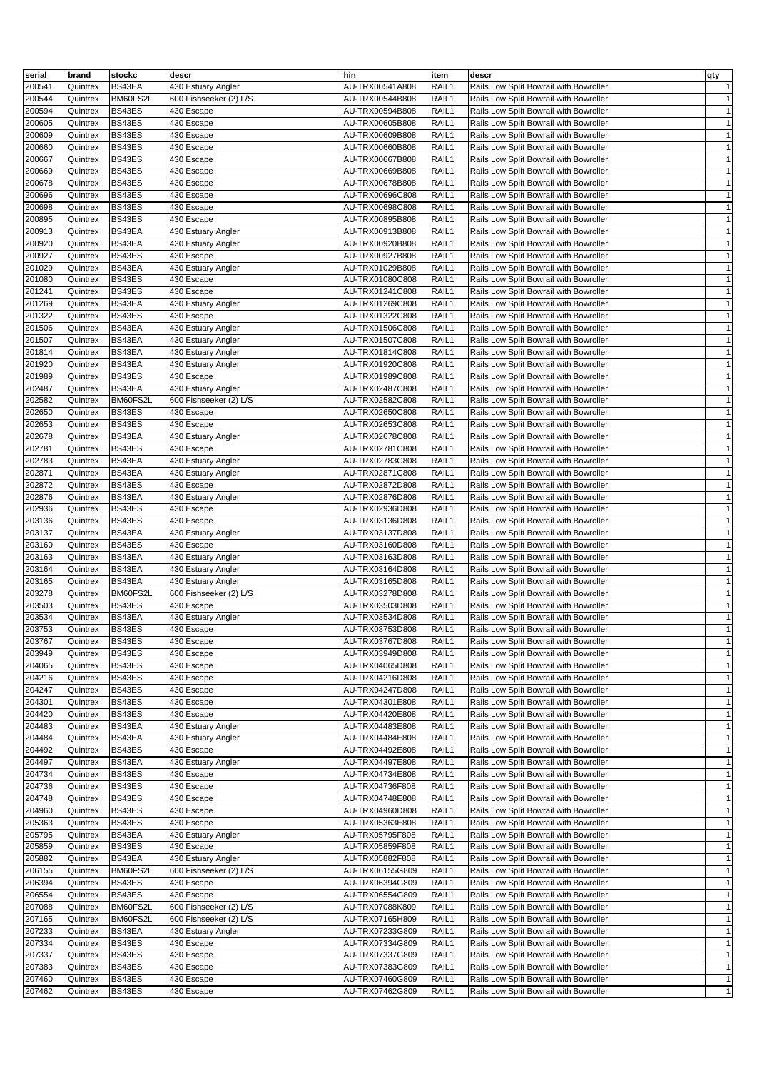| serial           | brand                | stockc           | descr                                | hin                                | item           | descr                                                                            | qty                          |
|------------------|----------------------|------------------|--------------------------------------|------------------------------------|----------------|----------------------------------------------------------------------------------|------------------------------|
| 200541           | Quintrex             | BS43EA           | 430 Estuary Angler                   | AU-TRX00541A808                    | RAIL1          | Rails Low Split Bowrail with Bowroller                                           | $\mathbf{1}$                 |
| 200544           | Quintrex             | BM60FS2L         | 600 Fishseeker (2) L/S               | AU-TRX00544B808                    | RAIL1          | Rails Low Split Bowrail with Bowroller                                           | $\mathbf{1}$                 |
| 200594           | Quintrex             | BS43ES           | 430 Escape                           | AU-TRX00594B808                    | RAIL1          | Rails Low Split Bowrail with Bowroller                                           | $\mathbf{1}$                 |
| 200605           | Quintrex             | BS43ES           | 430 Escape                           | AU-TRX00605B808                    | RAIL1          | Rails Low Split Bowrail with Bowroller                                           | $\mathbf{1}$                 |
| 200609           | Quintrex             | BS43ES           | 430 Escape                           | AU-TRX00609B808                    | RAIL1          | Rails Low Split Bowrail with Bowroller                                           | $\mathbf{1}$                 |
| 200660           | Quintrex             | BS43ES           | 430 Escape                           | AU-TRX00660B808                    | RAIL1          | Rails Low Split Bowrail with Bowroller                                           | $\mathbf{1}$                 |
| 200667           | Quintrex             | BS43ES           | 430 Escape                           | AU-TRX00667B808                    | RAIL1          | Rails Low Split Bowrail with Bowroller                                           | $\mathbf{1}$                 |
| 200669           | Quintrex             | BS43ES           | 430 Escape                           | AU-TRX00669B808                    | RAIL1          | Rails Low Split Bowrail with Bowroller                                           | $\mathbf{1}$                 |
| 200678           | Quintrex             | BS43ES           | 430 Escape                           | AU-TRX00678B808                    | RAIL1          | Rails Low Split Bowrail with Bowroller                                           | $\mathbf{1}$                 |
| 200696           | Quintrex             | BS43ES           | 430 Escape                           | AU-TRX00696C808                    | RAIL1          | Rails Low Split Bowrail with Bowroller                                           | $\mathbf{1}$                 |
| 200698           | Quintrex             | BS43ES           | 430 Escape                           | AU-TRX00698C808                    | RAIL1          | Rails Low Split Bowrail with Bowroller                                           | $\mathbf{1}$                 |
| 200895           | Quintrex             | BS43ES           | 430 Escape                           | AU-TRX00895B808                    | RAIL1          | Rails Low Split Bowrail with Bowroller                                           | $\mathbf{1}$                 |
| 200913           | Quintrex             | BS43EA           | 430 Estuary Angler                   | AU-TRX00913B808                    | RAIL1          | Rails Low Split Bowrail with Bowroller                                           | $\mathbf{1}$                 |
| 200920           | Quintrex             | BS43EA           | 430 Estuary Angler                   | AU-TRX00920B808                    | RAIL1          | Rails Low Split Bowrail with Bowroller                                           | $\mathbf{1}$                 |
| 200927           | Quintrex             | BS43ES           | 430 Escape                           | AU-TRX00927B808                    | RAIL1          | Rails Low Split Bowrail with Bowroller                                           | $\mathbf{1}$                 |
| 201029           | Quintrex             | BS43EA           | 430 Estuary Angler                   | AU-TRX01029B808                    | RAIL1          | Rails Low Split Bowrail with Bowroller                                           | $\mathbf{1}$                 |
| 201080           | Quintrex             | BS43ES           | 430 Escape                           | AU-TRX01080C808                    | RAIL1          | Rails Low Split Bowrail with Bowroller                                           | $\mathbf{1}$                 |
| 201241           | Quintrex             | BS43ES           | 430 Escape                           | AU-TRX01241C808                    | RAIL1          | Rails Low Split Bowrail with Bowroller                                           | $\mathbf{1}$                 |
| 201269           | Quintrex             | BS43EA           | 430 Estuary Angler                   | AU-TRX01269C808                    | RAIL1          | Rails Low Split Bowrail with Bowroller                                           | $\mathbf{1}$                 |
| 201322           | Quintrex             | BS43ES           | 430 Escape                           | AU-TRX01322C808                    | RAIL1          | Rails Low Split Bowrail with Bowroller                                           | $\mathbf{1}$                 |
| 201506           | Quintrex             | BS43EA           | 430 Estuary Angler                   | AU-TRX01506C808                    | RAIL1          | Rails Low Split Bowrail with Bowroller                                           | $\mathbf{1}$                 |
| 201507           | Quintrex             | BS43EA           | 430 Estuary Angler                   | AU-TRX01507C808                    | RAIL1          | Rails Low Split Bowrail with Bowroller                                           | $\mathbf{1}$                 |
| 201814           | Quintrex             | BS43EA           | 430 Estuary Angler                   | AU-TRX01814C808                    | RAIL1          | Rails Low Split Bowrail with Bowroller                                           | $\mathbf{1}$                 |
| 201920           | Quintrex             | BS43EA           | 430 Estuary Angler                   | AU-TRX01920C808                    | RAIL1          | Rails Low Split Bowrail with Bowroller                                           | $\mathbf{1}$                 |
| 201989           | Quintrex             | BS43ES           | 430 Escape                           | AU-TRX01989C808                    | RAIL1          | Rails Low Split Bowrail with Bowroller                                           | $\mathbf{1}$                 |
| 202487           | Quintrex             | BS43EA           | 430 Estuary Angler                   | AU-TRX02487C808                    | RAIL1          | Rails Low Split Bowrail with Bowroller                                           | $\mathbf{1}$                 |
| 202582           | Quintrex             | BM60FS2L         | 600 Fishseeker (2) L/S               | AU-TRX02582C808                    | RAIL1          | Rails Low Split Bowrail with Bowroller                                           | $\mathbf{1}$                 |
| 202650           | Quintrex             | BS43ES           | 430 Escape                           | AU-TRX02650C808                    | RAIL1          | Rails Low Split Bowrail with Bowroller                                           | $\mathbf{1}$                 |
| 202653           | Quintrex             | BS43ES           | 430 Escape                           | AU-TRX02653C808                    | RAIL1          | Rails Low Split Bowrail with Bowroller                                           | $\mathbf{1}$                 |
| 202678           | Quintrex             | BS43EA           | 430 Estuary Angler                   | AU-TRX02678C808                    | RAIL1          | Rails Low Split Bowrail with Bowroller                                           | $\mathbf{1}$                 |
| 202781           | Quintrex             | BS43ES           | 430 Escape                           | AU-TRX02781C808                    | RAIL1          | Rails Low Split Bowrail with Bowroller                                           | $\mathbf{1}$                 |
| 202783           | Quintrex             | BS43EA           | 430 Estuary Angler                   | AU-TRX02783C808                    | RAIL1          | Rails Low Split Bowrail with Bowroller                                           | $\mathbf{1}$                 |
| 202871           | Quintrex             | BS43EA           | 430 Estuary Angler                   | AU-TRX02871C808                    | RAIL1          | Rails Low Split Bowrail with Bowroller                                           | $\mathbf{1}$                 |
| 202872           | Quintrex             | BS43ES           | 430 Escape                           | AU-TRX02872D808                    | RAIL1          | Rails Low Split Bowrail with Bowroller                                           | $\mathbf{1}$                 |
| 202876           | Quintrex             | BS43EA           | 430 Estuary Angler                   | AU-TRX02876D808                    | RAIL1          | Rails Low Split Bowrail with Bowroller                                           | $\mathbf{1}$                 |
| 202936           | Quintrex             | BS43ES           | 430 Escape                           | AU-TRX02936D808                    | RAIL1          | Rails Low Split Bowrail with Bowroller                                           | $\mathbf{1}$                 |
| 203136           | Quintrex             | BS43ES           | 430 Escape                           | AU-TRX03136D808                    | RAIL1          | Rails Low Split Bowrail with Bowroller                                           | $\mathbf{1}$                 |
| 203137           | Quintrex             | BS43EA           | 430 Estuary Angler                   | AU-TRX03137D808                    | RAIL1          | Rails Low Split Bowrail with Bowroller                                           | $\mathbf{1}$                 |
| 203160           | Quintrex             | BS43ES           | 430 Escape                           | AU-TRX03160D808                    | RAIL1          | Rails Low Split Bowrail with Bowroller                                           | $\mathbf{1}$                 |
| 203163           | Quintrex             | BS43EA<br>BS43EA | 430 Estuary Angler                   | AU-TRX03163D808                    | RAIL1<br>RAIL1 | Rails Low Split Bowrail with Bowroller                                           | $\mathbf{1}$<br>$\mathbf{1}$ |
| 203164<br>203165 | Quintrex             | BS43EA           | 430 Estuary Angler                   | AU-TRX03164D808                    | RAIL1          | Rails Low Split Bowrail with Bowroller                                           | $\mathbf{1}$                 |
| 203278           | Quintrex             | BM60FS2L         | 430 Estuary Angler                   | AU-TRX03165D808                    | RAIL1          | Rails Low Split Bowrail with Bowroller                                           | $\mathbf{1}$                 |
| 203503           | Quintrex<br>Quintrex | BS43ES           | 600 Fishseeker (2) L/S<br>430 Escape | AU-TRX03278D808<br>AU-TRX03503D808 | RAIL1          | Rails Low Split Bowrail with Bowroller<br>Rails Low Split Bowrail with Bowroller | $\mathbf{1}$                 |
| 203534           | Quintrex             | BS43EA           | 430 Estuary Angler                   | AU-TRX03534D808                    | RAIL1          | Rails Low Split Bowrail with Bowroller                                           | $\mathbf{1}$                 |
| 203753           | Quintrex             | BS43ES           | 430 Escape                           | AU-TRX03753D808                    | RAIL1          | Rails Low Split Bowrail with Bowroller                                           | $\mathbf{1}$                 |
| 203767           | Quintrex             | BS43ES           | 430 Escape                           | AU-TRX03767D808                    | RAIL1          | Rails Low Split Bowrail with Bowroller                                           | $\mathbf{1}$                 |
| 203949           | Quintrex             | BS43ES           | 430 Escape                           | AU-TRX03949D808                    | RAIL1          | Rails Low Split Bowrail with Bowroller                                           | $\mathbf{1}$                 |
| 204065           | Quintrex             | BS43ES           | 430 Escape                           | AU-TRX04065D808                    | RAIL1          | Rails Low Split Bowrail with Bowroller                                           | $\mathbf{1}$                 |
| 204216           | Quintrex             | BS43ES           | 430 Escape                           | AU-TRX04216D808                    | RAIL1          | Rails Low Split Bowrail with Bowroller                                           | $\mathbf{1}$                 |
| 204247           | Quintrex             | BS43ES           | 430 Escape                           | AU-TRX04247D808                    | RAIL1          | Rails Low Split Bowrail with Bowroller                                           | $\mathbf{1}$                 |
| 204301           | Quintrex             | BS43ES           | 430 Escape                           | AU-TRX04301E808                    | RAIL1          | Rails Low Split Bowrail with Bowroller                                           | $\mathbf{1}$                 |
| 204420           | Quintrex             | BS43ES           | 430 Escape                           | AU-TRX04420E808                    | RAIL1          | Rails Low Split Bowrail with Bowroller                                           | $\mathbf{1}$                 |
| 204483           | Quintrex             | BS43EA           | 430 Estuary Angler                   | AU-TRX04483E808                    | RAIL1          | Rails Low Split Bowrail with Bowroller                                           | $\mathbf{1}$                 |
| 204484           | Quintrex             | BS43EA           | 430 Estuary Angler                   | AU-TRX04484E808                    | RAIL1          | Rails Low Split Bowrail with Bowroller                                           | $\mathbf{1}$                 |
| 204492           | Quintrex             | BS43ES           | 430 Escape                           | AU-TRX04492E808                    | RAIL1          | Rails Low Split Bowrail with Bowroller                                           | $\mathbf{1}$                 |
| 204497           | Quintrex             | BS43EA           | 430 Estuary Angler                   | AU-TRX04497E808                    | RAIL1          | Rails Low Split Bowrail with Bowroller                                           | $\mathbf{1}$                 |
| 204734           | Quintrex             | BS43ES           | 430 Escape                           | AU-TRX04734E808                    | RAIL1          | Rails Low Split Bowrail with Bowroller                                           | $\mathbf{1}$                 |
| 204736           | Quintrex             | BS43ES           | 430 Escape                           | AU-TRX04736F808                    | RAIL1          | Rails Low Split Bowrail with Bowroller                                           | $\mathbf{1}$                 |
| 204748           | Quintrex             | BS43ES           | 430 Escape                           | AU-TRX04748E808                    | RAIL1          | Rails Low Split Bowrail with Bowroller                                           | $\mathbf{1}$                 |
| 204960           | Quintrex             | BS43ES           | 430 Escape                           | AU-TRX04960D808                    | RAIL1          | Rails Low Split Bowrail with Bowroller                                           | $\mathbf{1}$                 |
| 205363           | Quintrex             | BS43ES           | 430 Escape                           | AU-TRX05363E808                    | RAIL1          | Rails Low Split Bowrail with Bowroller                                           | $\mathbf{1}$                 |
| 205795           | Quintrex             | BS43EA           | 430 Estuary Angler                   | AU-TRX05795F808                    | RAIL1          | Rails Low Split Bowrail with Bowroller                                           | $\mathbf{1}$                 |
| 205859           | Quintrex             | BS43ES           | 430 Escape                           | AU-TRX05859F808                    | RAIL1          | Rails Low Split Bowrail with Bowroller                                           | $\mathbf{1}$                 |
| 205882           | Quintrex             | BS43EA           | 430 Estuary Angler                   | AU-TRX05882F808                    | RAIL1          | Rails Low Split Bowrail with Bowroller                                           | $\mathbf{1}$                 |
| 206155           | Quintrex             | BM60FS2L         | 600 Fishseeker (2) L/S               | AU-TRX06155G809                    | RAIL1          | Rails Low Split Bowrail with Bowroller                                           | $\mathbf{1}$                 |
| 206394           | Quintrex             | BS43ES           | 430 Escape                           | AU-TRX06394G809                    | RAIL1          | Rails Low Split Bowrail with Bowroller                                           | $\mathbf{1}$                 |
| 206554           | Quintrex             | BS43ES           | 430 Escape                           | AU-TRX06554G809                    | RAIL1          | Rails Low Split Bowrail with Bowroller                                           | $\mathbf{1}$                 |
| 207088           | Quintrex             | BM60FS2L         | 600 Fishseeker (2) L/S               | AU-TRX07088K809                    | RAIL1          | Rails Low Split Bowrail with Bowroller                                           | $\mathbf{1}$                 |
| 207165           | Quintrex             | BM60FS2L         | 600 Fishseeker (2) L/S               | AU-TRX07165H809                    | RAIL1          | Rails Low Split Bowrail with Bowroller                                           | $\mathbf{1}$                 |
| 207233           | Quintrex             | BS43EA           | 430 Estuary Angler                   | AU-TRX07233G809                    | RAIL1          | Rails Low Split Bowrail with Bowroller                                           | $\mathbf{1}$                 |
| 207334           | Quintrex             | BS43ES           | 430 Escape                           | AU-TRX07334G809                    | RAIL1          | Rails Low Split Bowrail with Bowroller                                           | $\mathbf{1}$                 |
| 207337           | Quintrex             | BS43ES           | 430 Escape                           | AU-TRX07337G809                    | RAIL1          | Rails Low Split Bowrail with Bowroller                                           | $\mathbf{1}$                 |
| 207383           | Quintrex             | BS43ES           | 430 Escape                           | AU-TRX07383G809                    | RAIL1          | Rails Low Split Bowrail with Bowroller                                           | $\mathbf{1}$                 |
| 207460           | Quintrex             | BS43ES           | 430 Escape                           | AU-TRX07460G809                    | RAIL1          | Rails Low Split Bowrail with Bowroller                                           | $\mathbf{1}$                 |
| 207462           | Quintrex             | BS43ES           | 430 Escape                           | AU-TRX07462G809                    | RAIL1          | Rails Low Split Bowrail with Bowroller                                           | $\mathbf{1}$                 |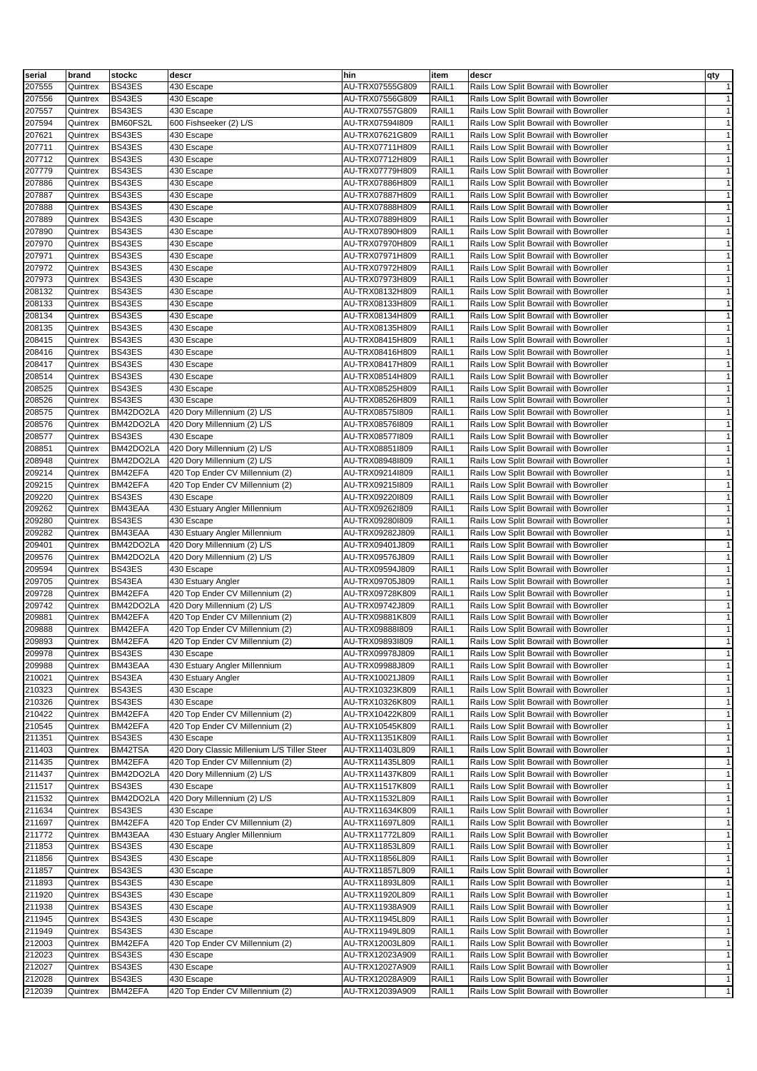| serial | brand    | stockc    | descr                                       | hin             | item  | descr                                  | qty          |
|--------|----------|-----------|---------------------------------------------|-----------------|-------|----------------------------------------|--------------|
| 207555 | Quintrex | BS43ES    | 430 Escape                                  | AU-TRX07555G809 | RAIL1 | Rails Low Split Bowrail with Bowroller | $\mathbf{1}$ |
| 207556 | Quintrex | BS43ES    | 430 Escape                                  | AU-TRX07556G809 | RAIL1 | Rails Low Split Bowrail with Bowroller | $\mathbf{1}$ |
|        |          | BS43ES    |                                             |                 |       |                                        |              |
| 207557 | Quintrex |           | 430 Escape                                  | AU-TRX07557G809 | RAIL1 | Rails Low Split Bowrail with Bowroller | $\mathbf{1}$ |
| 207594 | Quintrex | BM60FS2L  | 600 Fishseeker (2) L/S                      | AU-TRX075941809 | RAIL1 | Rails Low Split Bowrail with Bowroller | $\mathbf{1}$ |
| 207621 | Quintrex | BS43ES    | 430 Escape                                  | AU-TRX07621G809 | RAIL1 | Rails Low Split Bowrail with Bowroller | $\mathbf{1}$ |
| 207711 | Quintrex | BS43ES    | 430 Escape                                  | AU-TRX07711H809 | RAIL1 | Rails Low Split Bowrail with Bowroller | $\mathbf{1}$ |
| 207712 | Quintrex | BS43ES    | 430 Escape                                  | AU-TRX07712H809 | RAIL1 | Rails Low Split Bowrail with Bowroller | $\mathbf{1}$ |
| 207779 | Quintrex | BS43ES    | 430 Escape                                  | AU-TRX07779H809 | RAIL1 | Rails Low Split Bowrail with Bowroller | $\mathbf{1}$ |
| 207886 | Quintrex | BS43ES    | 430 Escape                                  | AU-TRX07886H809 | RAIL1 | Rails Low Split Bowrail with Bowroller | $\mathbf{1}$ |
| 207887 | Quintrex | BS43ES    | 430 Escape                                  | AU-TRX07887H809 | RAIL1 | Rails Low Split Bowrail with Bowroller | $\mathbf{1}$ |
| 207888 | Quintrex | BS43ES    | 430 Escape                                  | AU-TRX07888H809 | RAIL1 | Rails Low Split Bowrail with Bowroller | $\mathbf{1}$ |
| 207889 | Quintrex | BS43ES    | 430 Escape                                  | AU-TRX07889H809 | RAIL1 | Rails Low Split Bowrail with Bowroller | $\mathbf{1}$ |
|        |          | BS43ES    |                                             |                 | RAIL1 |                                        | $\mathbf{1}$ |
| 207890 | Quintrex |           | 430 Escape                                  | AU-TRX07890H809 |       | Rails Low Split Bowrail with Bowroller |              |
| 207970 | Quintrex | BS43ES    | 430 Escape                                  | AU-TRX07970H809 | RAIL1 | Rails Low Split Bowrail with Bowroller | $\mathbf{1}$ |
| 207971 | Quintrex | BS43ES    | 430 Escape                                  | AU-TRX07971H809 | RAIL1 | Rails Low Split Bowrail with Bowroller | $\mathbf{1}$ |
| 207972 | Quintrex | BS43ES    | 430 Escape                                  | AU-TRX07972H809 | RAIL1 | Rails Low Split Bowrail with Bowroller | $\mathbf{1}$ |
| 207973 | Quintrex | BS43ES    | 430 Escape                                  | AU-TRX07973H809 | RAIL1 | Rails Low Split Bowrail with Bowroller | $\mathbf{1}$ |
| 208132 | Quintrex | BS43ES    | 430 Escape                                  | AU-TRX08132H809 | RAIL1 | Rails Low Split Bowrail with Bowroller | $\mathbf{1}$ |
| 208133 | Quintrex | BS43ES    | 430 Escape                                  | AU-TRX08133H809 | RAIL1 | Rails Low Split Bowrail with Bowroller | $\mathbf{1}$ |
| 208134 | Quintrex | BS43ES    | 430 Escape                                  | AU-TRX08134H809 | RAIL1 | Rails Low Split Bowrail with Bowroller | $\mathbf{1}$ |
| 208135 | Quintrex | BS43ES    | 430 Escape                                  | AU-TRX08135H809 | RAIL1 | Rails Low Split Bowrail with Bowroller | $\mathbf{1}$ |
| 208415 | Quintrex | BS43ES    | 430 Escape                                  | AU-TRX08415H809 | RAIL1 | Rails Low Split Bowrail with Bowroller | $\mathbf{1}$ |
|        |          |           |                                             |                 |       |                                        |              |
| 208416 | Quintrex | BS43ES    | 430 Escape                                  | AU-TRX08416H809 | RAIL1 | Rails Low Split Bowrail with Bowroller | $\mathbf{1}$ |
| 208417 | Quintrex | BS43ES    | 430 Escape                                  | AU-TRX08417H809 | RAIL1 | Rails Low Split Bowrail with Bowroller | $\mathbf{1}$ |
| 208514 | Quintrex | BS43ES    | 430 Escape                                  | AU-TRX08514H809 | RAIL1 | Rails Low Split Bowrail with Bowroller | $\mathbf{1}$ |
| 208525 | Quintrex | BS43ES    | 430 Escape                                  | AU-TRX08525H809 | RAIL1 | Rails Low Split Bowrail with Bowroller | $\mathbf{1}$ |
| 208526 | Quintrex | BS43ES    | 430 Escape                                  | AU-TRX08526H809 | RAIL1 | Rails Low Split Bowrail with Bowroller | $\mathbf{1}$ |
| 208575 | Quintrex | BM42DO2LA | 420 Dory Millennium (2) L/S                 | AU-TRX085751809 | RAIL1 | Rails Low Split Bowrail with Bowroller | $\mathbf{1}$ |
| 208576 | Quintrex | BM42DO2LA | 420 Dory Millennium (2) L/S                 | AU-TRX08576I809 | RAIL1 | Rails Low Split Bowrail with Bowroller | $\mathbf{1}$ |
| 208577 | Quintrex | BS43ES    | 430 Escape                                  | AU-TRX08577I809 | RAIL1 | Rails Low Split Bowrail with Bowroller | $\mathbf{1}$ |
| 208851 | Quintrex | BM42DO2LA | 420 Dory Millennium (2) L/S                 | AU-TRX08851I809 | RAIL1 | Rails Low Split Bowrail with Bowroller | $\mathbf{1}$ |
| 208948 | Quintrex | BM42DO2LA | 420 Dory Millennium (2) L/S                 |                 | RAIL1 |                                        | $\mathbf{1}$ |
|        |          |           |                                             | AU-TRX08948I809 |       | Rails Low Split Bowrail with Bowroller |              |
| 209214 | Quintrex | BM42EFA   | 420 Top Ender CV Millennium (2)             | AU-TRX09214I809 | RAIL1 | Rails Low Split Bowrail with Bowroller | $\mathbf{1}$ |
| 209215 | Quintrex | BM42EFA   | 420 Top Ender CV Millennium (2)             | AU-TRX09215I809 | RAIL1 | Rails Low Split Bowrail with Bowroller | $\mathbf{1}$ |
| 209220 | Quintrex | BS43ES    | 430 Escape                                  | AU-TRX092201809 | RAIL1 | Rails Low Split Bowrail with Bowroller | $\mathbf{1}$ |
| 209262 | Quintrex | BM43EAA   | 430 Estuary Angler Millennium               | AU-TRX09262I809 | RAIL1 | Rails Low Split Bowrail with Bowroller | $\mathbf{1}$ |
| 209280 | Quintrex | BS43ES    | 430 Escape                                  | AU-TRX092801809 | RAIL1 | Rails Low Split Bowrail with Bowroller | $\mathbf{1}$ |
| 209282 | Quintrex | BM43EAA   | 430 Estuary Angler Millennium               | AU-TRX09282J809 | RAIL1 | Rails Low Split Bowrail with Bowroller | $\mathbf{1}$ |
| 209401 | Quintrex | BM42DO2LA | 420 Dory Millennium (2) L/S                 | AU-TRX09401J809 | RAIL1 | Rails Low Split Bowrail with Bowroller | $\mathbf{1}$ |
| 209576 | Quintrex | BM42DO2LA | 420 Dory Millennium (2) L/S                 | AU-TRX09576J809 | RAIL1 | Rails Low Split Bowrail with Bowroller | $\mathbf{1}$ |
| 209594 | Quintrex | BS43ES    | 430 Escape                                  | AU-TRX09594J809 | RAIL1 | Rails Low Split Bowrail with Bowroller | $\mathbf{1}$ |
|        |          |           |                                             |                 |       |                                        |              |
| 209705 | Quintrex | BS43EA    | 430 Estuary Angler                          | AU-TRX09705J809 | RAIL1 | Rails Low Split Bowrail with Bowroller | $\mathbf{1}$ |
| 209728 | Quintrex | BM42EFA   | 420 Top Ender CV Millennium (2)             | AU-TRX09728K809 | RAIL1 | Rails Low Split Bowrail with Bowroller | $\mathbf{1}$ |
| 209742 | Quintrex | BM42DO2LA | 420 Dory Millennium (2) L/S                 | AU-TRX09742J809 | RAIL1 | Rails Low Split Bowrail with Bowroller | $\mathbf{1}$ |
| 209881 | Quintrex | BM42EFA   | 420 Top Ender CV Millennium (2)             | AU-TRX09881K809 | RAIL1 | Rails Low Split Bowrail with Bowroller | $\mathbf{1}$ |
| 209888 | Quintrex | BM42EFA   | 420 Top Ender CV Millennium (2)             | AU-TRX09888I809 | RAIL1 | Rails Low Split Bowrail with Bowroller | $\mathbf{1}$ |
| 209893 | Quintrex | BM42EFA   | 420 Top Ender CV Millennium (2)             | AU-TRX09893I809 | RAIL1 | Rails Low Split Bowrail with Bowroller | $\mathbf{1}$ |
| 209978 | Quintrex | BS43ES    | 430 Escape                                  | AU-TRX09978J809 | RAIL1 | Rails Low Split Bowrail with Bowroller | $\mathbf{1}$ |
| 209988 | Quintrex | BM43EAA   | 430 Estuary Angler Millennium               | AU-TRX09988J809 | RAIL1 | Rails Low Split Bowrail with Bowroller | $\mathbf{1}$ |
| 210021 | Quintrex | BS43EA    | 430 Estuary Angler                          | AU-TRX10021J809 | RAIL1 | Rails Low Split Bowrail with Bowroller | $\mathbf{1}$ |
| 210323 | Quintrex | BS43ES    | 430 Escape                                  | AU-TRX10323K809 | RAIL1 | Rails Low Split Bowrail with Bowroller | $\mathbf{1}$ |
|        |          |           |                                             |                 |       |                                        |              |
| 210326 | Quintrex | BS43ES    | 430 Escape                                  | AU-TRX10326K809 | RAIL1 | Rails Low Split Bowrail with Bowroller | $\mathbf{1}$ |
| 210422 | Quintrex | BM42EFA   | 420 Top Ender CV Millennium (2)             | AU-TRX10422K809 | RAIL1 | Rails Low Split Bowrail with Bowroller | $\mathbf{1}$ |
| 210545 | Quintrex | BM42EFA   | 420 Top Ender CV Millennium (2)             | AU-TRX10545K809 | RAIL1 | Rails Low Split Bowrail with Bowroller | $\mathbf{1}$ |
| 211351 | Quintrex | BS43ES    | 430 Escape                                  | AU-TRX11351K809 | RAIL1 | Rails Low Split Bowrail with Bowroller | $\mathbf{1}$ |
| 211403 | Quintrex | BM42TSA   | 420 Dory Classic Millenium L/S Tiller Steer | AU-TRX11403L809 | RAIL1 | Rails Low Split Bowrail with Bowroller | $\mathbf{1}$ |
| 211435 | Quintrex | BM42EFA   | 420 Top Ender CV Millennium (2)             | AU-TRX11435L809 | RAIL1 | Rails Low Split Bowrail with Bowroller | $\mathbf{1}$ |
| 211437 | Quintrex | BM42DO2LA | 420 Dory Millennium (2) L/S                 | AU-TRX11437K809 | RAIL1 | Rails Low Split Bowrail with Bowroller | $\mathbf{1}$ |
| 211517 | Quintrex | BS43ES    | 430 Escape                                  | AU-TRX11517K809 | RAIL1 | Rails Low Split Bowrail with Bowroller | $\mathbf{1}$ |
| 211532 | Quintrex | BM42DO2LA | 420 Dory Millennium (2) L/S                 | AU-TRX11532L809 | RAIL1 | Rails Low Split Bowrail with Bowroller | $\mathbf{1}$ |
| 211634 | Quintrex | BS43ES    | 430 Escape                                  | AU-TRX11634K809 | RAIL1 | Rails Low Split Bowrail with Bowroller | $\mathbf{1}$ |
|        |          |           |                                             |                 |       |                                        |              |
| 211697 | Quintrex | BM42EFA   | 420 Top Ender CV Millennium (2)             | AU-TRX11697L809 | RAIL1 | Rails Low Split Bowrail with Bowroller | $\mathbf{1}$ |
| 211772 | Quintrex | BM43EAA   | 430 Estuary Angler Millennium               | AU-TRX11772L809 | RAIL1 | Rails Low Split Bowrail with Bowroller | $\mathbf{1}$ |
| 211853 | Quintrex | BS43ES    | 430 Escape                                  | AU-TRX11853L809 | RAIL1 | Rails Low Split Bowrail with Bowroller | $\mathbf{1}$ |
| 211856 | Quintrex | BS43ES    | 430 Escape                                  | AU-TRX11856L809 | RAIL1 | Rails Low Split Bowrail with Bowroller | $\mathbf{1}$ |
| 211857 | Quintrex | BS43ES    | 430 Escape                                  | AU-TRX11857L809 | RAIL1 | Rails Low Split Bowrail with Bowroller | $\mathbf{1}$ |
| 211893 | Quintrex | BS43ES    | 430 Escape                                  | AU-TRX11893L809 | RAIL1 | Rails Low Split Bowrail with Bowroller | $\mathbf{1}$ |
| 211920 | Quintrex | BS43ES    | 430 Escape                                  | AU-TRX11920L809 | RAIL1 | Rails Low Split Bowrail with Bowroller | $\mathbf{1}$ |
| 211938 | Quintrex | BS43ES    | 430 Escape                                  | AU-TRX11938A909 | RAIL1 | Rails Low Split Bowrail with Bowroller | $\mathbf{1}$ |
| 211945 |          | BS43ES    |                                             | AU-TRX11945L809 | RAIL1 | Rails Low Split Bowrail with Bowroller | $\mathbf{1}$ |
|        | Quintrex |           | 430 Escape                                  |                 |       |                                        |              |
| 211949 | Quintrex | BS43ES    | 430 Escape                                  | AU-TRX11949L809 | RAIL1 | Rails Low Split Bowrail with Bowroller | $\mathbf{1}$ |
| 212003 | Quintrex | BM42EFA   | 420 Top Ender CV Millennium (2)             | AU-TRX12003L809 | RAIL1 | Rails Low Split Bowrail with Bowroller | $\mathbf{1}$ |
| 212023 | Quintrex | BS43ES    | 430 Escape                                  | AU-TRX12023A909 | RAIL1 | Rails Low Split Bowrail with Bowroller | $\mathbf{1}$ |
| 212027 | Quintrex | BS43ES    | 430 Escape                                  | AU-TRX12027A909 | RAIL1 | Rails Low Split Bowrail with Bowroller | $\mathbf{1}$ |
| 212028 | Quintrex | BS43ES    | 430 Escape                                  | AU-TRX12028A909 | RAIL1 | Rails Low Split Bowrail with Bowroller | $\mathbf{1}$ |
| 212039 | Quintrex | BM42EFA   | 420 Top Ender CV Millennium (2)             | AU-TRX12039A909 | RAIL1 | Rails Low Split Bowrail with Bowroller | $\mathbf{1}$ |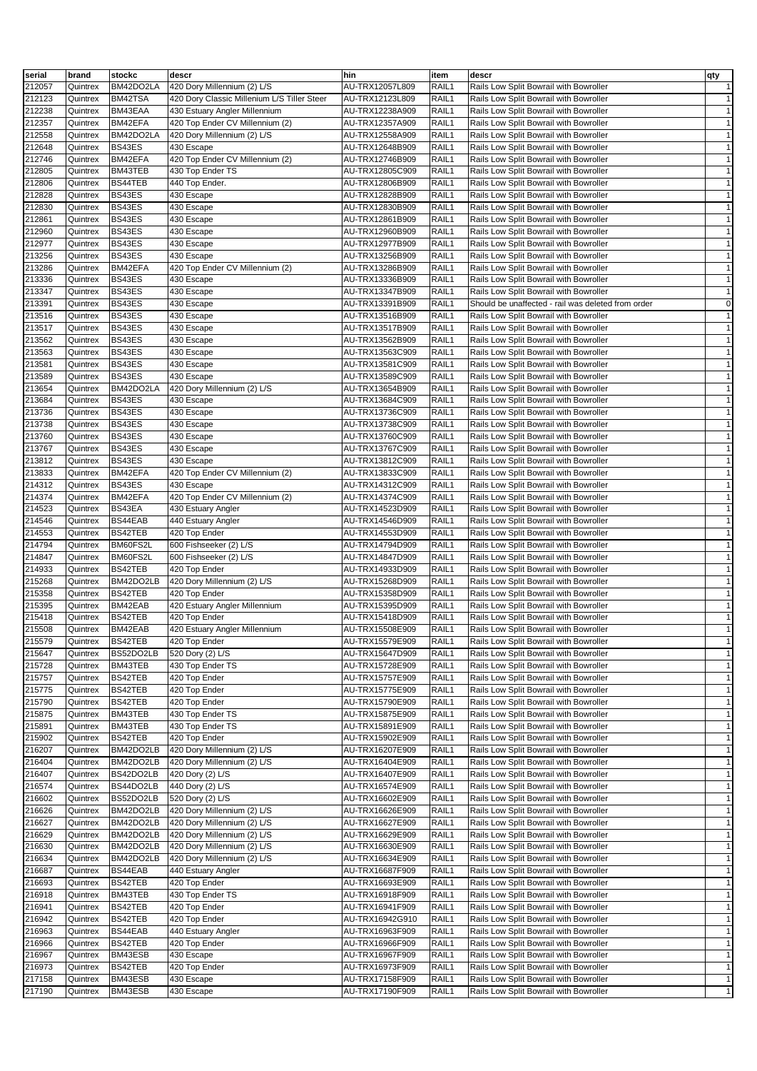| serial | brand    | stockc    | descr                                       | hin             | item  | descr                                              | qty          |
|--------|----------|-----------|---------------------------------------------|-----------------|-------|----------------------------------------------------|--------------|
| 212057 | Quintrex | BM42DO2LA | 420 Dory Millennium (2) L/S                 | AU-TRX12057L809 | RAIL1 | Rails Low Split Bowrail with Bowroller             | $\mathbf{1}$ |
| 212123 | Quintrex | BM42TSA   | 420 Dory Classic Millenium L/S Tiller Steer | AU-TRX12123L809 | RAIL1 | Rails Low Split Bowrail with Bowroller             | $\mathbf{1}$ |
| 212238 | Quintrex | BM43EAA   | 430 Estuary Angler Millennium               | AU-TRX12238A909 | RAIL1 | Rails Low Split Bowrail with Bowroller             | $\mathbf{1}$ |
| 212357 | Quintrex | BM42EFA   | 420 Top Ender CV Millennium (2)             | AU-TRX12357A909 | RAIL1 | Rails Low Split Bowrail with Bowroller             | $\mathbf{1}$ |
| 212558 | Quintrex | BM42DO2LA | 420 Dory Millennium (2) L/S                 | AU-TRX12558A909 | RAIL1 | Rails Low Split Bowrail with Bowroller             | $\mathbf{1}$ |
| 212648 | Quintrex | BS43ES    | 430 Escape                                  | AU-TRX12648B909 | RAIL1 | Rails Low Split Bowrail with Bowroller             | $\mathbf{1}$ |
| 212746 | Quintrex | BM42EFA   | 420 Top Ender CV Millennium (2)             | AU-TRX12746B909 | RAIL1 | Rails Low Split Bowrail with Bowroller             | $\mathbf{1}$ |
| 212805 | Quintrex | BM43TEB   | 430 Top Ender TS                            | AU-TRX12805C909 | RAIL1 | Rails Low Split Bowrail with Bowroller             | $\mathbf{1}$ |
| 212806 | Quintrex | BS44TEB   | 440 Top Ender.                              | AU-TRX12806B909 | RAIL1 | Rails Low Split Bowrail with Bowroller             | $\mathbf{1}$ |
| 212828 | Quintrex | BS43ES    | 430 Escape                                  | AU-TRX12828B909 | RAIL1 | Rails Low Split Bowrail with Bowroller             | $\mathbf{1}$ |
| 212830 | Quintrex | BS43ES    | 430 Escape                                  | AU-TRX12830B909 | RAIL1 | Rails Low Split Bowrail with Bowroller             | $\mathbf{1}$ |
| 212861 | Quintrex | BS43ES    | 430 Escape                                  | AU-TRX12861B909 | RAIL1 | Rails Low Split Bowrail with Bowroller             | $\mathbf{1}$ |
| 212960 | Quintrex | BS43ES    |                                             | AU-TRX12960B909 | RAIL1 | Rails Low Split Bowrail with Bowroller             | $\mathbf{1}$ |
|        |          |           | 430 Escape                                  | AU-TRX12977B909 |       |                                                    | $\mathbf{1}$ |
| 212977 | Quintrex | BS43ES    | 430 Escape                                  |                 | RAIL1 | Rails Low Split Bowrail with Bowroller             |              |
| 213256 | Quintrex | BS43ES    | 430 Escape                                  | AU-TRX13256B909 | RAIL1 | Rails Low Split Bowrail with Bowroller             | $\mathbf{1}$ |
| 213286 | Quintrex | BM42EFA   | 420 Top Ender CV Millennium (2)             | AU-TRX13286B909 | RAIL1 | Rails Low Split Bowrail with Bowroller             | $\mathbf{1}$ |
| 213336 | Quintrex | BS43ES    | 430 Escape                                  | AU-TRX13336B909 | RAIL1 | Rails Low Split Bowrail with Bowroller             | $\mathbf{1}$ |
| 213347 | Quintrex | BS43ES    | 430 Escape                                  | AU-TRX13347B909 | RAIL1 | Rails Low Split Bowrail with Bowroller             | $\mathbf{1}$ |
| 213391 | Quintrex | BS43ES    | 430 Escape                                  | AU-TRX13391B909 | RAIL1 | Should be unaffected - rail was deleted from order | $\mathsf 0$  |
| 213516 | Quintrex | BS43ES    | 430 Escape                                  | AU-TRX13516B909 | RAIL1 | Rails Low Split Bowrail with Bowroller             | $\mathbf{1}$ |
| 213517 | Quintrex | BS43ES    | 430 Escape                                  | AU-TRX13517B909 | RAIL1 | Rails Low Split Bowrail with Bowroller             | $\mathbf{1}$ |
| 213562 | Quintrex | BS43ES    | 430 Escape                                  | AU-TRX13562B909 | RAIL1 | Rails Low Split Bowrail with Bowroller             | $\mathbf{1}$ |
| 213563 | Quintrex | BS43ES    | 430 Escape                                  | AU-TRX13563C909 | RAIL1 | Rails Low Split Bowrail with Bowroller             | $\mathbf{1}$ |
| 213581 | Quintrex | BS43ES    | 430 Escape                                  | AU-TRX13581C909 | RAIL1 | Rails Low Split Bowrail with Bowroller             | $\mathbf{1}$ |
| 213589 | Quintrex | BS43ES    | 430 Escape                                  | AU-TRX13589C909 | RAIL1 | Rails Low Split Bowrail with Bowroller             | $\mathbf{1}$ |
| 213654 | Quintrex | BM42DO2LA | 420 Dory Millennium (2) L/S                 | AU-TRX13654B909 | RAIL1 | Rails Low Split Bowrail with Bowroller             | $\mathbf{1}$ |
| 213684 | Quintrex | BS43ES    | 430 Escape                                  | AU-TRX13684C909 | RAIL1 | Rails Low Split Bowrail with Bowroller             | $\mathbf{1}$ |
| 213736 | Quintrex | BS43ES    | 430 Escape                                  | AU-TRX13736C909 | RAIL1 | Rails Low Split Bowrail with Bowroller             | $\mathbf{1}$ |
| 213738 | Quintrex | BS43ES    | 430 Escape                                  | AU-TRX13738C909 | RAIL1 | Rails Low Split Bowrail with Bowroller             | $\mathbf{1}$ |
| 213760 | Quintrex | BS43ES    | 430 Escape                                  | AU-TRX13760C909 | RAIL1 | Rails Low Split Bowrail with Bowroller             | $\mathbf{1}$ |
| 213767 | Quintrex | BS43ES    | 430 Escape                                  | AU-TRX13767C909 | RAIL1 | Rails Low Split Bowrail with Bowroller             | $\mathbf{1}$ |
| 213812 | Quintrex | BS43ES    | 430 Escape                                  | AU-TRX13812C909 | RAIL1 | Rails Low Split Bowrail with Bowroller             | $\mathbf{1}$ |
| 213833 | Quintrex | BM42EFA   | 420 Top Ender CV Millennium (2)             | AU-TRX13833C909 | RAIL1 | Rails Low Split Bowrail with Bowroller             | $\mathbf{1}$ |
| 214312 | Quintrex | BS43ES    | 430 Escape                                  | AU-TRX14312C909 | RAIL1 |                                                    | $\mathbf{1}$ |
|        |          |           |                                             |                 |       | Rails Low Split Bowrail with Bowroller             |              |
| 214374 | Quintrex | BM42EFA   | 420 Top Ender CV Millennium (2)             | AU-TRX14374C909 | RAIL1 | Rails Low Split Bowrail with Bowroller             | $\mathbf{1}$ |
| 214523 | Quintrex | BS43EA    | 430 Estuary Angler                          | AU-TRX14523D909 | RAIL1 | Rails Low Split Bowrail with Bowroller             | $\mathbf{1}$ |
| 214546 | Quintrex | BS44EAB   | 440 Estuary Angler                          | AU-TRX14546D909 | RAIL1 | Rails Low Split Bowrail with Bowroller             | $\mathbf{1}$ |
| 214553 | Quintrex | BS42TEB   | 420 Top Ender                               | AU-TRX14553D909 | RAIL1 | Rails Low Split Bowrail with Bowroller             | $\mathbf{1}$ |
| 214794 | Quintrex | BM60FS2L  | 600 Fishseeker (2) L/S                      | AU-TRX14794D909 | RAIL1 | Rails Low Split Bowrail with Bowroller             | $\mathbf{1}$ |
| 214847 | Quintrex | BM60FS2L  | 600 Fishseeker (2) L/S                      | AU-TRX14847D909 | RAIL1 | Rails Low Split Bowrail with Bowroller             | $\mathbf{1}$ |
| 214933 | Quintrex | BS42TEB   | 420 Top Ender                               | AU-TRX14933D909 | RAIL1 | Rails Low Split Bowrail with Bowroller             | $\mathbf{1}$ |
| 215268 | Quintrex | BM42DO2LB | 420 Dory Millennium (2) L/S                 | AU-TRX15268D909 | RAIL1 | Rails Low Split Bowrail with Bowroller             | $\mathbf{1}$ |
| 215358 | Quintrex | BS42TEB   | 420 Top Ender                               | AU-TRX15358D909 | RAIL1 | Rails Low Split Bowrail with Bowroller             | $\mathbf{1}$ |
| 215395 | Quintrex | BM42EAB   | 420 Estuary Angler Millennium               | AU-TRX15395D909 | RAIL1 | Rails Low Split Bowrail with Bowroller             | $\mathbf{1}$ |
| 215418 | Quintrex | BS42TEB   | 420 Top Ender                               | AU-TRX15418D909 | RAIL1 | Rails Low Split Bowrail with Bowroller             | $\mathbf{1}$ |
| 215508 | Quintrex | BM42EAB   | 420 Estuary Angler Millennium               | AU-TRX15508E909 | RAIL1 | Rails Low Split Bowrail with Bowroller             | $\mathbf{1}$ |
| 215579 | Quintrex | BS42TEB   | 420 Top Ender                               | AU-TRX15579E909 | RAIL1 | Rails Low Split Bowrail with Bowroller             | $\mathbf{1}$ |
| 215647 | Quintrex | BS52DO2LB | 520 Dory (2) L/S                            | AU-TRX15647D909 | RAIL1 | Rails Low Split Bowrail with Bowroller             | $\mathbf{1}$ |
| 215728 | Quintrex | BM43TEB   | 430 Top Ender TS                            | AU-TRX15728E909 | RAIL1 | Rails Low Split Bowrail with Bowroller             | $\mathbf{1}$ |
| 215757 | Quintrex | BS42TEB   | 420 Top Ender                               | AU-TRX15757E909 | RAIL1 | Rails Low Split Bowrail with Bowroller             | $\mathbf{1}$ |
| 215775 | Quintrex | BS42TEB   | 420 Top Ender                               | AU-TRX15775E909 | RAIL1 | Rails Low Split Bowrail with Bowroller             | $\mathbf{1}$ |
| 215790 | Quintrex | BS42TEB   | 420 Top Ender                               | AU-TRX15790E909 | RAIL1 | Rails Low Split Bowrail with Bowroller             | $\mathbf{1}$ |
| 215875 | Quintrex | BM43TEB   | 430 Top Ender TS                            | AU-TRX15875E909 | RAIL1 | Rails Low Split Bowrail with Bowroller             | $\mathbf{1}$ |
| 215891 | Quintrex | BM43TEB   | 430 Top Ender TS                            | AU-TRX15891E909 | RAIL1 | Rails Low Split Bowrail with Bowroller             | $\mathbf{1}$ |
| 215902 | Quintrex | BS42TEB   | 420 Top Ender                               | AU-TRX15902E909 | RAIL1 | Rails Low Split Bowrail with Bowroller             | $\mathbf{1}$ |
| 216207 | Quintrex | BM42DO2LB | 420 Dory Millennium (2) L/S                 | AU-TRX16207E909 | RAIL1 | Rails Low Split Bowrail with Bowroller             | $\mathbf{1}$ |
| 216404 | Quintrex | BM42DO2LB | 420 Dory Millennium (2) L/S                 | AU-TRX16404E909 | RAIL1 | Rails Low Split Bowrail with Bowroller             | $\mathbf{1}$ |
| 216407 | Quintrex | BS42DO2LB |                                             | AU-TRX16407E909 | RAIL1 |                                                    | $\mathbf{1}$ |
|        |          |           | 420 Dory (2) L/S                            |                 |       | Rails Low Split Bowrail with Bowroller             |              |
| 216574 | Quintrex | BS44DO2LB | 440 Dory (2) L/S                            | AU-TRX16574E909 | RAIL1 | Rails Low Split Bowrail with Bowroller             | $\mathbf{1}$ |
| 216602 | Quintrex | BS52DO2LB | 520 Dory (2) L/S                            | AU-TRX16602E909 | RAIL1 | Rails Low Split Bowrail with Bowroller             | $\mathbf{1}$ |
| 216626 | Quintrex | BM42DO2LB | 420 Dory Millennium (2) L/S                 | AU-TRX16626E909 | RAIL1 | Rails Low Split Bowrail with Bowroller             | $\mathbf{1}$ |
| 216627 | Quintrex | BM42DO2LB | 420 Dory Millennium (2) L/S                 | AU-TRX16627E909 | RAIL1 | Rails Low Split Bowrail with Bowroller             | $\mathbf{1}$ |
| 216629 | Quintrex | BM42DO2LB | 420 Dory Millennium (2) L/S                 | AU-TRX16629E909 | RAIL1 | Rails Low Split Bowrail with Bowroller             | $\mathbf{1}$ |
| 216630 | Quintrex | BM42DO2LB | 420 Dory Millennium (2) L/S                 | AU-TRX16630E909 | RAIL1 | Rails Low Split Bowrail with Bowroller             | $\mathbf{1}$ |
| 216634 | Quintrex | BM42DO2LB | 420 Dory Millennium (2) L/S                 | AU-TRX16634E909 | RAIL1 | Rails Low Split Bowrail with Bowroller             | $\mathbf{1}$ |
| 216687 | Quintrex | BS44EAB   | 440 Estuary Angler                          | AU-TRX16687F909 | RAIL1 | Rails Low Split Bowrail with Bowroller             | $\mathbf{1}$ |
| 216693 | Quintrex | BS42TEB   | 420 Top Ender                               | AU-TRX16693E909 | RAIL1 | Rails Low Split Bowrail with Bowroller             | $\mathbf{1}$ |
| 216918 | Quintrex | BM43TEB   | 430 Top Ender TS                            | AU-TRX16918F909 | RAIL1 | Rails Low Split Bowrail with Bowroller             | $\mathbf{1}$ |
| 216941 | Quintrex | BS42TEB   | 420 Top Ender                               | AU-TRX16941F909 | RAIL1 | Rails Low Split Bowrail with Bowroller             | $\mathbf{1}$ |
| 216942 | Quintrex | BS42TEB   | 420 Top Ender                               | AU-TRX16942G910 | RAIL1 | Rails Low Split Bowrail with Bowroller             | $\mathbf{1}$ |
| 216963 | Quintrex | BS44EAB   | 440 Estuary Angler                          | AU-TRX16963F909 | RAIL1 | Rails Low Split Bowrail with Bowroller             | $\mathbf{1}$ |
| 216966 | Quintrex | BS42TEB   | 420 Top Ender                               | AU-TRX16966F909 | RAIL1 | Rails Low Split Bowrail with Bowroller             | $\mathbf{1}$ |
| 216967 | Quintrex | BM43ESB   | 430 Escape                                  | AU-TRX16967F909 | RAIL1 | Rails Low Split Bowrail with Bowroller             | $\mathbf{1}$ |
| 216973 | Quintrex | BS42TEB   | 420 Top Ender                               | AU-TRX16973F909 | RAIL1 | Rails Low Split Bowrail with Bowroller             | $\mathbf{1}$ |
| 217158 | Quintrex | BM43ESB   | 430 Escape                                  | AU-TRX17158F909 | RAIL1 | Rails Low Split Bowrail with Bowroller             | $\mathbf{1}$ |
| 217190 | Quintrex | BM43ESB   | 430 Escape                                  | AU-TRX17190F909 | RAIL1 | Rails Low Split Bowrail with Bowroller             | $\mathbf{1}$ |
|        |          |           |                                             |                 |       |                                                    |              |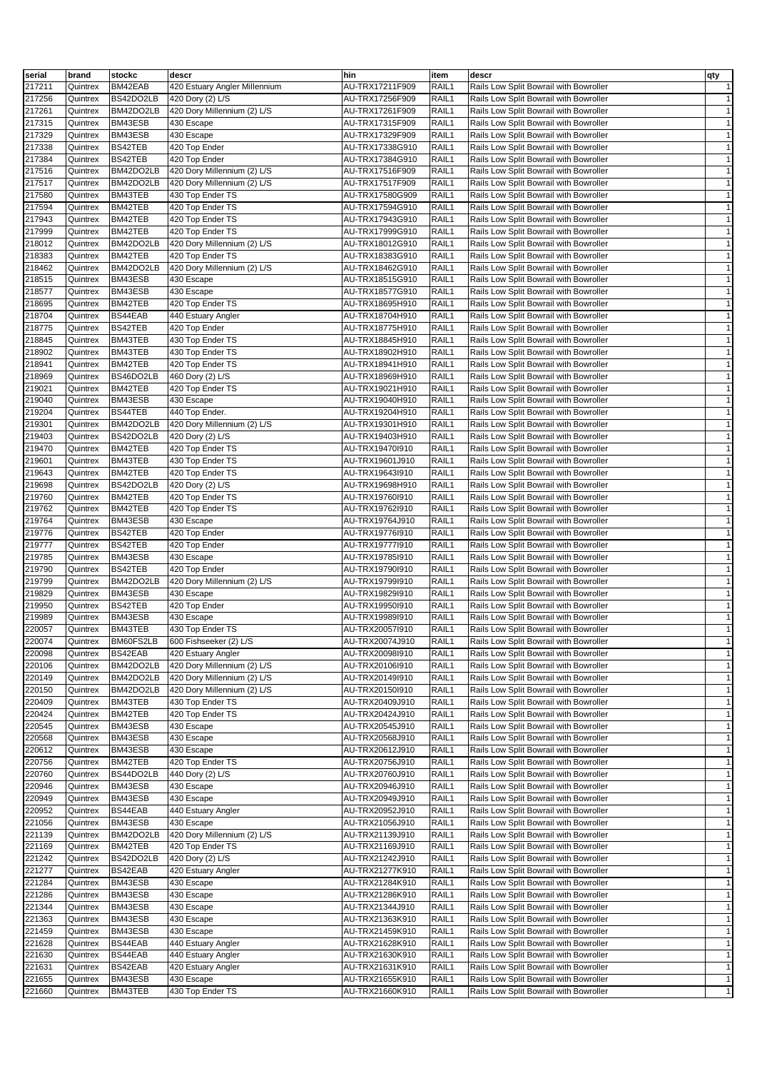| serial | brand    | stockc    | descr                         | hin             | item  | descr                                  | qty          |
|--------|----------|-----------|-------------------------------|-----------------|-------|----------------------------------------|--------------|
| 217211 | Quintrex | BM42EAB   | 420 Estuary Angler Millennium | AU-TRX17211F909 | RAIL1 | Rails Low Split Bowrail with Bowroller | $\mathbf{1}$ |
| 217256 | Quintrex | BS42DO2LB | 420 Dory (2) L/S              | AU-TRX17256F909 | RAIL1 | Rails Low Split Bowrail with Bowroller | $\mathbf{1}$ |
|        |          |           |                               |                 |       |                                        |              |
| 217261 | Quintrex | BM42DO2LB | 420 Dory Millennium (2) L/S   | AU-TRX17261F909 | RAIL1 | Rails Low Split Bowrail with Bowroller | $\mathbf{1}$ |
| 217315 | Quintrex | BM43ESB   | 430 Escape                    | AU-TRX17315F909 | RAIL1 | Rails Low Split Bowrail with Bowroller | $\mathbf{1}$ |
| 217329 | Quintrex | BM43ESB   | 430 Escape                    | AU-TRX17329F909 | RAIL1 | Rails Low Split Bowrail with Bowroller | $\mathbf{1}$ |
| 217338 | Quintrex | BS42TEB   | 420 Top Ender                 | AU-TRX17338G910 | RAIL1 | Rails Low Split Bowrail with Bowroller | $\mathbf{1}$ |
| 217384 | Quintrex | BS42TEB   | 420 Top Ender                 | AU-TRX17384G910 | RAIL1 | Rails Low Split Bowrail with Bowroller | $\mathbf{1}$ |
| 217516 | Quintrex | BM42DO2LB | 420 Dory Millennium (2) L/S   | AU-TRX17516F909 | RAIL1 | Rails Low Split Bowrail with Bowroller | $\mathbf{1}$ |
| 217517 | Quintrex | BM42DO2LB | 420 Dory Millennium (2) L/S   | AU-TRX17517F909 | RAIL1 | Rails Low Split Bowrail with Bowroller | $\mathbf{1}$ |
| 217580 | Quintrex | BM43TEB   | 430 Top Ender TS              | AU-TRX17580G909 | RAIL1 | Rails Low Split Bowrail with Bowroller | $\mathbf{1}$ |
| 217594 | Quintrex | BM42TEB   | 420 Top Ender TS              | AU-TRX17594G910 | RAIL1 | Rails Low Split Bowrail with Bowroller | $\mathbf{1}$ |
| 217943 | Quintrex | BM42TEB   | 420 Top Ender TS              | AU-TRX17943G910 | RAIL1 | Rails Low Split Bowrail with Bowroller | $\mathbf{1}$ |
| 217999 | Quintrex | BM42TEB   | 420 Top Ender TS              | AU-TRX17999G910 | RAIL1 | Rails Low Split Bowrail with Bowroller | $\mathbf{1}$ |
| 218012 | Quintrex | BM42DO2LB | 420 Dory Millennium (2) L/S   | AU-TRX18012G910 | RAIL1 | Rails Low Split Bowrail with Bowroller | $\mathbf{1}$ |
|        |          |           |                               |                 |       |                                        |              |
| 218383 | Quintrex | BM42TEB   | 420 Top Ender TS              | AU-TRX18383G910 | RAIL1 | Rails Low Split Bowrail with Bowroller | $\mathbf{1}$ |
| 218462 | Quintrex | BM42DO2LB | 420 Dory Millennium (2) L/S   | AU-TRX18462G910 | RAIL1 | Rails Low Split Bowrail with Bowroller | $\mathbf{1}$ |
| 218515 | Quintrex | BM43ESB   | 430 Escape                    | AU-TRX18515G910 | RAIL1 | Rails Low Split Bowrail with Bowroller | $\mathbf{1}$ |
| 218577 | Quintrex | BM43ESB   | 430 Escape                    | AU-TRX18577G910 | RAIL1 | Rails Low Split Bowrail with Bowroller | $\mathbf{1}$ |
| 218695 | Quintrex | BM42TEB   | 420 Top Ender TS              | AU-TRX18695H910 | RAIL1 | Rails Low Split Bowrail with Bowroller | $\mathbf{1}$ |
| 218704 | Quintrex | BS44EAB   | 440 Estuary Angler            | AU-TRX18704H910 | RAIL1 | Rails Low Split Bowrail with Bowroller | $\mathbf{1}$ |
| 218775 | Quintrex | BS42TEB   | 420 Top Ender                 | AU-TRX18775H910 | RAIL1 | Rails Low Split Bowrail with Bowroller | $\mathbf{1}$ |
| 218845 | Quintrex | BM43TEB   | 430 Top Ender TS              | AU-TRX18845H910 | RAIL1 | Rails Low Split Bowrail with Bowroller | $\mathbf{1}$ |
| 218902 | Quintrex | BM43TEB   | 430 Top Ender TS              | AU-TRX18902H910 | RAIL1 | Rails Low Split Bowrail with Bowroller | $\mathbf{1}$ |
| 218941 | Quintrex | BM42TEB   | 420 Top Ender TS              | AU-TRX18941H910 | RAIL1 | Rails Low Split Bowrail with Bowroller | $\mathbf{1}$ |
| 218969 | Quintrex | BS46DO2LB | 460 Dory (2) L/S              | AU-TRX18969H910 | RAIL1 | Rails Low Split Bowrail with Bowroller | $\mathbf{1}$ |
|        |          |           |                               | AU-TRX19021H910 |       | Rails Low Split Bowrail with Bowroller |              |
| 219021 | Quintrex | BM42TEB   | 420 Top Ender TS              |                 | RAIL1 |                                        | $\mathbf{1}$ |
| 219040 | Quintrex | BM43ESB   | 430 Escape                    | AU-TRX19040H910 | RAIL1 | Rails Low Split Bowrail with Bowroller | $\mathbf{1}$ |
| 219204 | Quintrex | BS44TEB   | 440 Top Ender.                | AU-TRX19204H910 | RAIL1 | Rails Low Split Bowrail with Bowroller | $\mathbf{1}$ |
| 219301 | Quintrex | BM42DO2LB | 420 Dory Millennium (2) L/S   | AU-TRX19301H910 | RAIL1 | Rails Low Split Bowrail with Bowroller | $\mathbf{1}$ |
| 219403 | Quintrex | BS42DO2LB | 420 Dory (2) L/S              | AU-TRX19403H910 | RAIL1 | Rails Low Split Bowrail with Bowroller | $\mathbf{1}$ |
| 219470 | Quintrex | BM42TEB   | 420 Top Ender TS              | AU-TRX19470l910 | RAIL1 | Rails Low Split Bowrail with Bowroller | $\mathbf{1}$ |
| 219601 | Quintrex | BM43TEB   | 430 Top Ender TS              | AU-TRX19601J910 | RAIL1 | Rails Low Split Bowrail with Bowroller | $\mathbf{1}$ |
| 219643 | Quintrex | BM42TEB   | 420 Top Ender TS              | AU-TRX19643l910 | RAIL1 | Rails Low Split Bowrail with Bowroller | $\mathbf{1}$ |
| 219698 | Quintrex | BS42DO2LB | 420 Dory (2) L/S              | AU-TRX19698H910 | RAIL1 | Rails Low Split Bowrail with Bowroller | $\mathbf{1}$ |
| 219760 | Quintrex | BM42TEB   | 420 Top Ender TS              | AU-TRX19760I910 | RAIL1 | Rails Low Split Bowrail with Bowroller | $\mathbf{1}$ |
|        |          |           |                               |                 |       |                                        |              |
| 219762 | Quintrex | BM42TEB   | 420 Top Ender TS              | AU-TRX19762l910 | RAIL1 | Rails Low Split Bowrail with Bowroller | $\mathbf{1}$ |
| 219764 | Quintrex | BM43ESB   | 430 Escape                    | AU-TRX19764J910 | RAIL1 | Rails Low Split Bowrail with Bowroller | $\mathbf{1}$ |
| 219776 | Quintrex | BS42TEB   | 420 Top Ender                 | AU-TRX19776l910 | RAIL1 | Rails Low Split Bowrail with Bowroller | $\mathbf{1}$ |
| 219777 | Quintrex | BS42TEB   | 420 Top Ender                 | AU-TRX19777l910 | RAIL1 | Rails Low Split Bowrail with Bowroller | $\mathbf{1}$ |
| 219785 | Quintrex | BM43ESB   | 430 Escape                    | AU-TRX19785l910 | RAIL1 | Rails Low Split Bowrail with Bowroller | $\mathbf{1}$ |
| 219790 | Quintrex | BS42TEB   | 420 Top Ender                 | AU-TRX19790I910 | RAIL1 | Rails Low Split Bowrail with Bowroller | $\mathbf{1}$ |
| 219799 | Quintrex | BM42DO2LB | 420 Dory Millennium (2) L/S   | AU-TRX19799I910 | RAIL1 | Rails Low Split Bowrail with Bowroller | $\mathbf{1}$ |
| 219829 | Quintrex | BM43ESB   | 430 Escape                    | AU-TRX19829I910 | RAIL1 | Rails Low Split Bowrail with Bowroller | $\mathbf{1}$ |
| 219950 | Quintrex | BS42TEB   | 420 Top Ender                 | AU-TRX19950l910 | RAIL1 | Rails Low Split Bowrail with Bowroller | $\mathbf{1}$ |
| 219989 | Quintrex | BM43ESB   | 430 Escape                    | AU-TRX19989I910 | RAIL1 | Rails Low Split Bowrail with Bowroller | $\mathbf{1}$ |
| 220057 | Quintrex | BM43TEB   | 430 Top Ender TS              | AU-TRX200571910 | RAIL1 | Rails Low Split Bowrail with Bowroller | $\mathbf{1}$ |
|        |          |           |                               |                 |       |                                        |              |
| 220074 | Quintrex | BM60FS2LB | 600 Fishseeker (2) L/S        | AU-TRX20074J910 | RAIL1 | Rails Low Split Bowrail with Bowroller | $\mathbf{1}$ |
| 220098 | Quintrex | BS42EAB   | 420 Estuary Angler            | AU-TRX20098I910 | RAIL1 | Rails Low Split Bowrail with Bowroller | $\mathbf{1}$ |
| 220106 | Quintrex | BM42DO2LB | 420 Dory Millennium (2) L/S   | AU-TRX20106l910 | RAIL1 | Rails Low Split Bowrail with Bowroller | $\mathbf{1}$ |
| 220149 | Quintrex | BM42DO2LB | 420 Dory Millennium (2) L/S   | AU-TRX20149I910 | RAIL1 | Rails Low Split Bowrail with Bowroller | $\mathbf{1}$ |
| 220150 | Quintrex | BM42DO2LB | 420 Dory Millennium (2) L/S   | AU-TRX20150l910 | RAIL1 | Rails Low Split Bowrail with Bowroller | $\mathbf{1}$ |
| 220409 | Quintrex | BM43TEB   | 430 Top Ender TS              | AU-TRX20409J910 | RAIL1 | Rails Low Split Bowrail with Bowroller | $\mathbf{1}$ |
| 220424 | Quintrex | BM42TEB   | 420 Top Ender TS              | AU-TRX20424J910 | RAIL1 | Rails Low Split Bowrail with Bowroller | $\mathbf{1}$ |
| 220545 | Quintrex | BM43ESB   | 430 Escape                    | AU-TRX20545J910 | RAIL1 | Rails Low Split Bowrail with Bowroller | $\mathbf{1}$ |
| 220568 | Quintrex | BM43ESB   | 430 Escape                    | AU-TRX20568J910 | RAIL1 | Rails Low Split Bowrail with Bowroller | $\mathbf{1}$ |
| 220612 | Quintrex | BM43ESB   | 430 Escape                    | AU-TRX20612J910 | RAIL1 | Rails Low Split Bowrail with Bowroller | $\mathbf{1}$ |
| 220756 | Quintrex | BM42TEB   | 420 Top Ender TS              | AU-TRX20756J910 | RAIL1 | Rails Low Split Bowrail with Bowroller | $\mathbf{1}$ |
|        |          | BS44DO2LB |                               |                 |       | Rails Low Split Bowrail with Bowroller |              |
| 220760 | Quintrex |           | 440 Dory (2) L/S              | AU-TRX20760J910 | RAIL1 |                                        | $\mathbf{1}$ |
| 220946 | Quintrex | BM43ESB   | 430 Escape                    | AU-TRX20946J910 | RAIL1 | Rails Low Split Bowrail with Bowroller | $\mathbf{1}$ |
| 220949 | Quintrex | BM43ESB   | 430 Escape                    | AU-TRX20949J910 | RAIL1 | Rails Low Split Bowrail with Bowroller | $\mathbf{1}$ |
| 220952 | Quintrex | BS44EAB   | 440 Estuary Angler            | AU-TRX20952J910 | RAIL1 | Rails Low Split Bowrail with Bowroller | $\mathbf{1}$ |
| 221056 | Quintrex | BM43ESB   | 430 Escape                    | AU-TRX21056J910 | RAIL1 | Rails Low Split Bowrail with Bowroller | $\mathbf{1}$ |
| 221139 | Quintrex | BM42DO2LB | 420 Dory Millennium (2) L/S   | AU-TRX21139J910 | RAIL1 | Rails Low Split Bowrail with Bowroller | $\mathbf{1}$ |
| 221169 | Quintrex | BM42TEB   | 420 Top Ender TS              | AU-TRX21169J910 | RAIL1 | Rails Low Split Bowrail with Bowroller | $\mathbf{1}$ |
| 221242 | Quintrex | BS42DO2LB | 420 Dory (2) L/S              | AU-TRX21242J910 | RAIL1 | Rails Low Split Bowrail with Bowroller | $\mathbf{1}$ |
| 221277 | Quintrex | BS42EAB   | 420 Estuary Angler            | AU-TRX21277K910 | RAIL1 | Rails Low Split Bowrail with Bowroller | $\mathbf{1}$ |
| 221284 | Quintrex | BM43ESB   | 430 Escape                    | AU-TRX21284K910 | RAIL1 | Rails Low Split Bowrail with Bowroller | $\mathbf{1}$ |
|        |          |           |                               |                 | RAIL1 |                                        | $\mathbf{1}$ |
| 221286 | Quintrex | BM43ESB   | 430 Escape                    | AU-TRX21286K910 |       | Rails Low Split Bowrail with Bowroller |              |
| 221344 | Quintrex | BM43ESB   | 430 Escape                    | AU-TRX21344J910 | RAIL1 | Rails Low Split Bowrail with Bowroller | $\mathbf{1}$ |
| 221363 | Quintrex | BM43ESB   | 430 Escape                    | AU-TRX21363K910 | RAIL1 | Rails Low Split Bowrail with Bowroller | $\mathbf{1}$ |
| 221459 | Quintrex | BM43ESB   | 430 Escape                    | AU-TRX21459K910 | RAIL1 | Rails Low Split Bowrail with Bowroller | $\mathbf{1}$ |
| 221628 | Quintrex | BS44EAB   | 440 Estuary Angler            | AU-TRX21628K910 | RAIL1 | Rails Low Split Bowrail with Bowroller | $\mathbf{1}$ |
| 221630 | Quintrex | BS44EAB   | 440 Estuary Angler            | AU-TRX21630K910 | RAIL1 | Rails Low Split Bowrail with Bowroller | $\mathbf{1}$ |
| 221631 | Quintrex | BS42EAB   | 420 Estuary Angler            | AU-TRX21631K910 | RAIL1 | Rails Low Split Bowrail with Bowroller | $\mathbf{1}$ |
| 221655 | Quintrex | BM43ESB   | 430 Escape                    | AU-TRX21655K910 | RAIL1 | Rails Low Split Bowrail with Bowroller | $\mathbf{1}$ |
| 221660 | Quintrex | BM43TEB   | 430 Top Ender TS              | AU-TRX21660K910 | RAIL1 | Rails Low Split Bowrail with Bowroller | $\mathbf{1}$ |
|        |          |           |                               |                 |       |                                        |              |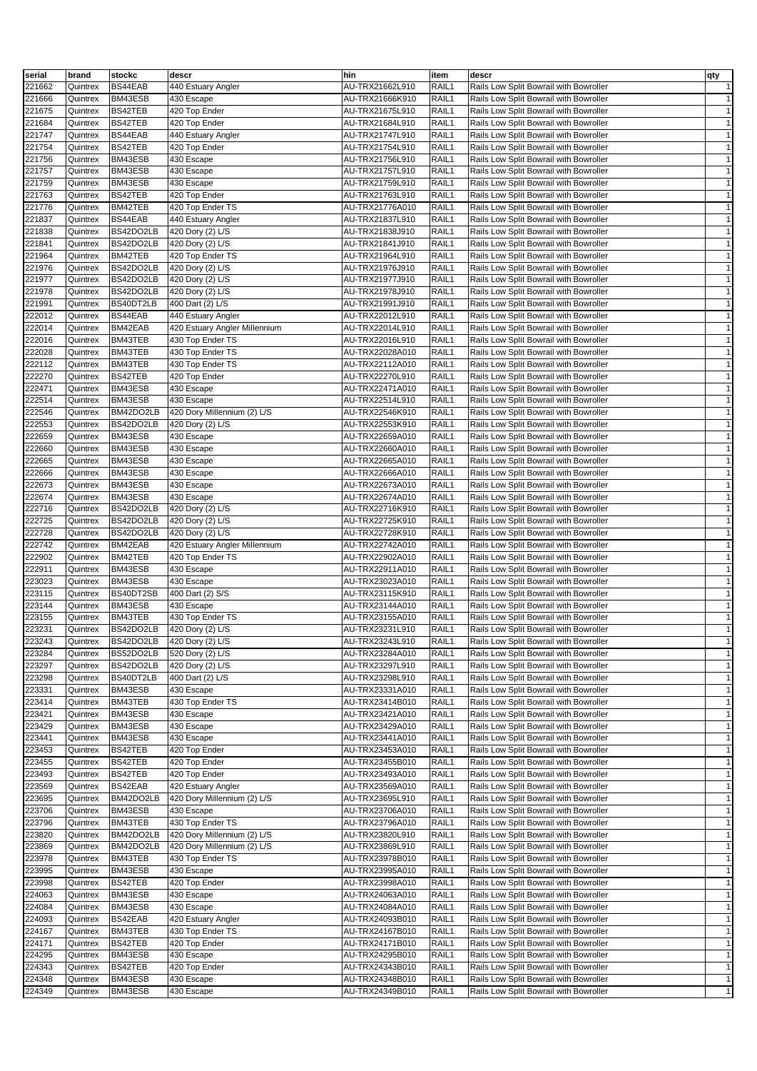| serial | brand    | stockc    | descr                         | hin             | item              | descr                                  | qty          |
|--------|----------|-----------|-------------------------------|-----------------|-------------------|----------------------------------------|--------------|
| 221662 | Quintrex | BS44EAB   | 440 Estuary Angler            | AU-TRX21662L910 | RAIL1             | Rails Low Split Bowrail with Bowroller | $\mathbf{1}$ |
| 221666 | Quintrex | BM43ESB   | 430 Escape                    | AU-TRX21666K910 | RAIL1             | Rails Low Split Bowrail with Bowroller | $\mathbf{1}$ |
|        |          | BS42TEB   |                               | AU-TRX21675L910 |                   |                                        |              |
| 221675 | Quintrex |           | 420 Top Ender                 |                 | RAIL1             | Rails Low Split Bowrail with Bowroller | $\mathbf{1}$ |
| 221684 | Quintrex | BS42TEB   | 420 Top Ender                 | AU-TRX21684L910 | RAIL1             | Rails Low Split Bowrail with Bowroller | $\mathbf{1}$ |
| 221747 | Quintrex | BS44EAB   | 440 Estuary Angler            | AU-TRX21747L910 | RAIL1             | Rails Low Split Bowrail with Bowroller | $\mathbf{1}$ |
| 221754 | Quintrex | BS42TEB   | 420 Top Ender                 | AU-TRX21754L910 | RAIL1             | Rails Low Split Bowrail with Bowroller | $\mathbf{1}$ |
| 221756 | Quintrex | BM43ESB   | 430 Escape                    | AU-TRX21756L910 | RAIL1             | Rails Low Split Bowrail with Bowroller | $\mathbf{1}$ |
| 221757 | Quintrex | BM43ESB   | 430 Escape                    | AU-TRX21757L910 | RAIL1             | Rails Low Split Bowrail with Bowroller | $\mathbf{1}$ |
| 221759 | Quintrex | BM43ESB   | 430 Escape                    | AU-TRX21759L910 | RAIL1             | Rails Low Split Bowrail with Bowroller | $\mathbf{1}$ |
| 221763 | Quintrex | BS42TEB   | 420 Top Ender                 | AU-TRX21763L910 | RAIL1             | Rails Low Split Bowrail with Bowroller | $\mathbf{1}$ |
| 221776 | Quintrex | BM42TEB   | 420 Top Ender TS              | AU-TRX21776A010 | RAIL1             | Rails Low Split Bowrail with Bowroller | $\mathbf{1}$ |
| 221837 | Quintrex | BS44EAB   | 440 Estuary Angler            | AU-TRX21837L910 | RAIL1             | Rails Low Split Bowrail with Bowroller | $\mathbf{1}$ |
| 221838 | Quintrex | BS42DO2LB |                               |                 | RAIL1             |                                        | $\mathbf{1}$ |
|        |          |           | 420 Dory (2) L/S              | AU-TRX21838J910 |                   | Rails Low Split Bowrail with Bowroller |              |
| 221841 | Quintrex | BS42DO2LB | 420 Dory (2) L/S              | AU-TRX21841J910 | RAIL1             | Rails Low Split Bowrail with Bowroller | $\mathbf{1}$ |
| 221964 | Quintrex | BM42TEB   | 420 Top Ender TS              | AU-TRX21964L910 | RAIL1             | Rails Low Split Bowrail with Bowroller | $\mathbf{1}$ |
| 221976 | Quintrex | BS42DO2LB | 420 Dory (2) L/S              | AU-TRX21976J910 | RAIL1             | Rails Low Split Bowrail with Bowroller | $\mathbf{1}$ |
| 221977 | Quintrex | BS42DO2LB | 420 Dory (2) L/S              | AU-TRX21977J910 | RAIL1             | Rails Low Split Bowrail with Bowroller | $\mathbf{1}$ |
| 221978 | Quintrex | BS42DO2LB | 420 Dory (2) L/S              | AU-TRX21978J910 | RAIL1             | Rails Low Split Bowrail with Bowroller | $\mathbf{1}$ |
| 221991 | Quintrex | BS40DT2LB | 400 Dart (2) L/S              | AU-TRX21991J910 | RAIL1             | Rails Low Split Bowrail with Bowroller | $\mathbf{1}$ |
| 222012 | Quintrex | BS44EAB   | 440 Estuary Angler            | AU-TRX22012L910 | RAIL1             | Rails Low Split Bowrail with Bowroller | $\mathbf{1}$ |
| 222014 | Quintrex | BM42EAB   | 420 Estuary Angler Millennium | AU-TRX22014L910 | RAIL1             | Rails Low Split Bowrail with Bowroller | $\mathbf{1}$ |
| 222016 | Quintrex | BM43TEB   | 430 Top Ender TS              | AU-TRX22016L910 | RAIL1             | Rails Low Split Bowrail with Bowroller | $\mathbf{1}$ |
|        |          |           |                               |                 |                   |                                        |              |
| 222028 | Quintrex | BM43TEB   | 430 Top Ender TS              | AU-TRX22028A010 | RAIL1             | Rails Low Split Bowrail with Bowroller | $\mathbf{1}$ |
| 222112 | Quintrex | BM43TEB   | 430 Top Ender TS              | AU-TRX22112A010 | RAIL1             | Rails Low Split Bowrail with Bowroller | $\mathbf{1}$ |
| 222270 | Quintrex | BS42TEB   | 420 Top Ender                 | AU-TRX22270L910 | RAIL1             | Rails Low Split Bowrail with Bowroller | $\mathbf{1}$ |
| 222471 | Quintrex | BM43ESB   | 430 Escape                    | AU-TRX22471A010 | RAIL1             | Rails Low Split Bowrail with Bowroller | $\mathbf{1}$ |
| 222514 | Quintrex | BM43ESB   | 430 Escape                    | AU-TRX22514L910 | RAIL1             | Rails Low Split Bowrail with Bowroller | $\mathbf{1}$ |
| 222546 | Quintrex | BM42DO2LB | 420 Dory Millennium (2) L/S   | AU-TRX22546K910 | RAIL1             | Rails Low Split Bowrail with Bowroller | $\mathbf{1}$ |
| 222553 | Quintrex | BS42DO2LB | 420 Dory (2) L/S              | AU-TRX22553K910 | RAIL1             | Rails Low Split Bowrail with Bowroller | $\mathbf{1}$ |
| 222659 | Quintrex | BM43ESB   | 430 Escape                    | AU-TRX22659A010 | RAIL1             | Rails Low Split Bowrail with Bowroller | $\mathbf{1}$ |
| 222660 | Quintrex | BM43ESB   | 430 Escape                    | AU-TRX22660A010 | RAIL1             | Rails Low Split Bowrail with Bowroller | $\mathbf{1}$ |
| 222665 | Quintrex | BM43ESB   |                               | AU-TRX22665A010 | RAIL1             | Rails Low Split Bowrail with Bowroller | $\mathbf{1}$ |
|        |          |           | 430 Escape                    |                 |                   |                                        |              |
| 222666 | Quintrex | BM43ESB   | 430 Escape                    | AU-TRX22666A010 | RAIL1             | Rails Low Split Bowrail with Bowroller | $\mathbf{1}$ |
| 222673 | Quintrex | BM43ESB   | 430 Escape                    | AU-TRX22673A010 | RAIL1             | Rails Low Split Bowrail with Bowroller | $\mathbf{1}$ |
| 222674 | Quintrex | BM43ESB   | 430 Escape                    | AU-TRX22674A010 | RAIL1             | Rails Low Split Bowrail with Bowroller | $\mathbf{1}$ |
| 222716 | Quintrex | BS42DO2LB | 420 Dory (2) L/S              | AU-TRX22716K910 | RAIL1             | Rails Low Split Bowrail with Bowroller | $\mathbf{1}$ |
| 222725 | Quintrex | BS42DO2LB | 420 Dory (2) L/S              | AU-TRX22725K910 | RAIL1             | Rails Low Split Bowrail with Bowroller | $\mathbf{1}$ |
| 222728 | Quintrex | BS42DO2LB | 420 Dory (2) L/S              | AU-TRX22728K910 | RAIL1             | Rails Low Split Bowrail with Bowroller | $\mathbf{1}$ |
| 222742 | Quintrex | BM42EAB   | 420 Estuary Angler Millennium | AU-TRX22742A010 | RAIL1             | Rails Low Split Bowrail with Bowroller | $\mathbf{1}$ |
| 222902 | Quintrex | BM42TEB   | 420 Top Ender TS              | AU-TRX22902A010 | RAIL1             | Rails Low Split Bowrail with Bowroller | $\mathbf{1}$ |
| 222911 | Quintrex | BM43ESB   | 430 Escape                    | AU-TRX22911A010 | RAIL1             | Rails Low Split Bowrail with Bowroller | $\mathbf{1}$ |
| 223023 |          |           | 430 Escape                    |                 | RAIL1             |                                        | $\mathbf{1}$ |
|        | Quintrex | BM43ESB   |                               | AU-TRX23023A010 |                   | Rails Low Split Bowrail with Bowroller |              |
| 223115 | Quintrex | BS40DT2SB | 400 Dart (2) S/S              | AU-TRX23115K910 | RAIL1             | Rails Low Split Bowrail with Bowroller | $\mathbf{1}$ |
| 223144 | Quintrex | BM43ESB   | 430 Escape                    | AU-TRX23144A010 | RAIL1             | Rails Low Split Bowrail with Bowroller | $\mathbf{1}$ |
| 223155 | Quintrex | BM43TEB   | 430 Top Ender TS              | AU-TRX23155A010 | RAIL1             | Rails Low Split Bowrail with Bowroller | $\mathbf{1}$ |
| 223231 | Quintrex | BS42DO2LB | 420 Dory (2) L/S              | AU-TRX23231L910 | RAIL1             | Rails Low Split Bowrail with Bowroller | $\mathbf{1}$ |
| 223243 | Quintrex | BS42DO2LB | 420 Dory (2) L/S              | AU-TRX23243L910 | RAIL <sub>1</sub> | Rails Low Split Bowrail with Bowroller | $\mathbf{1}$ |
| 223284 | Quintrex | BS52DO2LB | 520 Dory (2) L/S              | AU-TRX23284A010 | RAIL1             | Rails Low Split Bowrail with Bowroller | $\mathbf{1}$ |
| 223297 | Quintrex | BS42DO2LB | 420 Dory (2) L/S              | AU-TRX23297L910 | RAIL1             | Rails Low Split Bowrail with Bowroller | $\mathbf{1}$ |
| 223298 | Quintrex | BS40DT2LB | 400 Dart (2) L/S              | AU-TRX23298L910 | RAIL1             | Rails Low Split Bowrail with Bowroller | $\mathbf{1}$ |
| 223331 | Quintrex | BM43ESB   | 430 Escape                    | AU-TRX23331A010 | RAIL1             | Rails Low Split Bowrail with Bowroller | $\mathbf{1}$ |
|        |          |           |                               |                 |                   |                                        |              |
| 223414 | Quintrex | BM43TEB   | 430 Top Ender TS              | AU-TRX23414B010 | RAIL1             | Rails Low Split Bowrail with Bowroller | $\mathbf{1}$ |
| 223421 | Quintrex | BM43ESB   | 430 Escape                    | AU-TRX23421A010 | RAIL1             | Rails Low Split Bowrail with Bowroller | $\mathbf{1}$ |
| 223429 | Quintrex | BM43ESB   | 430 Escape                    | AU-TRX23429A010 | RAIL1             | Rails Low Split Bowrail with Bowroller | $\mathbf{1}$ |
| 223441 | Quintrex | BM43ESB   | 430 Escape                    | AU-TRX23441A010 | RAIL1             | Rails Low Split Bowrail with Bowroller | $\mathbf{1}$ |
| 223453 | Quintrex | BS42TEB   | 420 Top Ender                 | AU-TRX23453A010 | RAIL1             | Rails Low Split Bowrail with Bowroller | $\mathbf{1}$ |
| 223455 | Quintrex | BS42TEB   | 420 Top Ender                 | AU-TRX23455B010 | RAIL1             | Rails Low Split Bowrail with Bowroller | $\mathbf{1}$ |
| 223493 | Quintrex | BS42TEB   | 420 Top Ender                 | AU-TRX23493A010 | RAIL1             | Rails Low Split Bowrail with Bowroller | $\mathbf{1}$ |
| 223569 | Quintrex | BS42EAB   | 420 Estuary Angler            | AU-TRX23569A010 | RAIL1             | Rails Low Split Bowrail with Bowroller | $\mathbf{1}$ |
| 223695 | Quintrex | BM42DO2LB | 420 Dory Millennium (2) L/S   | AU-TRX23695L910 | RAIL1             | Rails Low Split Bowrail with Bowroller | $\mathbf{1}$ |
| 223706 | Quintrex | BM43ESB   | 430 Escape                    | AU-TRX23706A010 | RAIL1             | Rails Low Split Bowrail with Bowroller | $\mathbf{1}$ |
|        |          |           |                               |                 |                   |                                        |              |
| 223796 | Quintrex | BM43TEB   | 430 Top Ender TS              | AU-TRX23796A010 | RAIL1             | Rails Low Split Bowrail with Bowroller | $\mathbf{1}$ |
| 223820 | Quintrex | BM42DO2LB | 420 Dory Millennium (2) L/S   | AU-TRX23820L910 | RAIL1             | Rails Low Split Bowrail with Bowroller | $\mathbf{1}$ |
| 223869 | Quintrex | BM42DO2LB | 420 Dory Millennium (2) L/S   | AU-TRX23869L910 | RAIL1             | Rails Low Split Bowrail with Bowroller | $\mathbf{1}$ |
| 223978 | Quintrex | BM43TEB   | 430 Top Ender TS              | AU-TRX23978B010 | RAIL1             | Rails Low Split Bowrail with Bowroller | $\mathbf{1}$ |
| 223995 | Quintrex | BM43ESB   | 430 Escape                    | AU-TRX23995A010 | RAIL1             | Rails Low Split Bowrail with Bowroller | $\mathbf{1}$ |
| 223998 | Quintrex | BS42TEB   | 420 Top Ender                 | AU-TRX23998A010 | RAIL1             | Rails Low Split Bowrail with Bowroller | $\mathbf{1}$ |
| 224063 | Quintrex | BM43ESB   | 430 Escape                    | AU-TRX24063A010 | RAIL1             | Rails Low Split Bowrail with Bowroller | $\mathbf{1}$ |
| 224084 | Quintrex | BM43ESB   | 430 Escape                    | AU-TRX24084A010 | RAIL1             | Rails Low Split Bowrail with Bowroller | $\mathbf{1}$ |
| 224093 | Quintrex | BS42EAB   | 420 Estuary Angler            | AU-TRX24093B010 | RAIL1             | Rails Low Split Bowrail with Bowroller | $\mathbf{1}$ |
| 224167 |          | BM43TEB   | 430 Top Ender TS              | AU-TRX24167B010 | RAIL1             | Rails Low Split Bowrail with Bowroller | $\mathbf{1}$ |
|        | Quintrex |           |                               |                 |                   |                                        | $\mathbf{1}$ |
| 224171 | Quintrex | BS42TEB   | 420 Top Ender                 | AU-TRX24171B010 | RAIL1             | Rails Low Split Bowrail with Bowroller |              |
| 224295 | Quintrex | BM43ESB   | 430 Escape                    | AU-TRX24295B010 | RAIL1             | Rails Low Split Bowrail with Bowroller | $\mathbf{1}$ |
| 224343 | Quintrex | BS42TEB   | 420 Top Ender                 | AU-TRX24343B010 | RAIL1             | Rails Low Split Bowrail with Bowroller | $\mathbf{1}$ |
| 224348 | Quintrex | BM43ESB   | 430 Escape                    | AU-TRX24348B010 | RAIL1             | Rails Low Split Bowrail with Bowroller | $\mathbf{1}$ |
| 224349 | Quintrex | BM43ESB   | 430 Escape                    | AU-TRX24349B010 | RAIL1             | Rails Low Split Bowrail with Bowroller | $\mathbf{1}$ |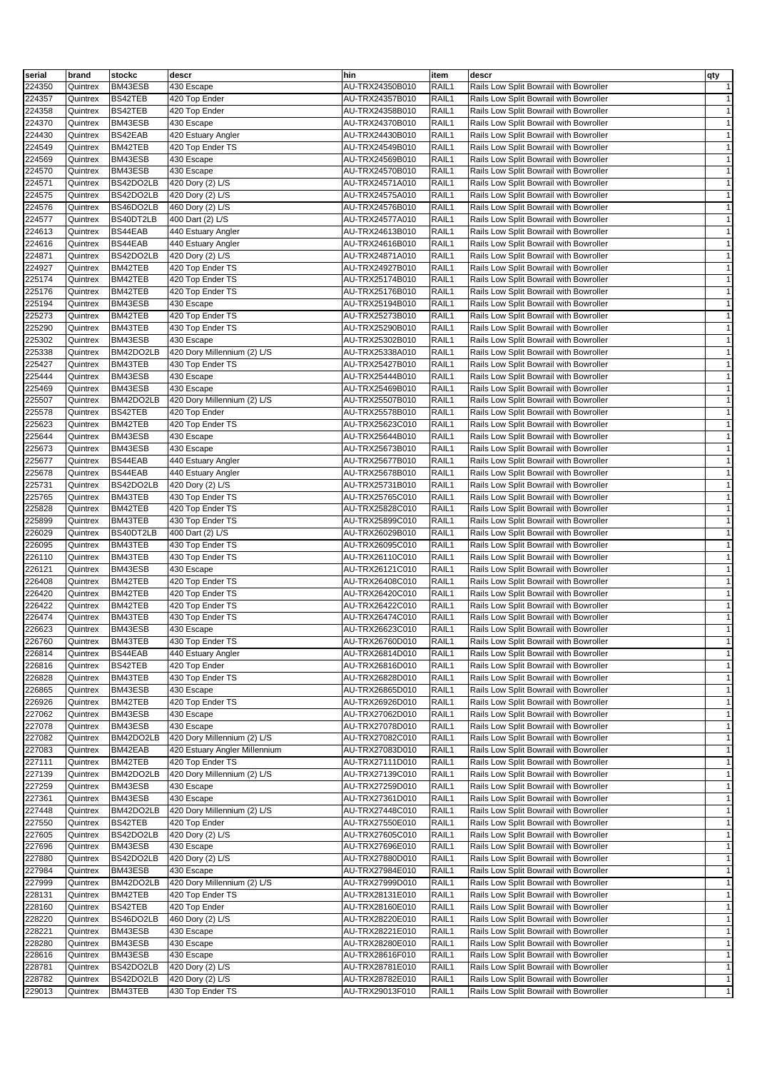| serial           | brand                | stockc             | descr                                | hin                                | item           | descr                                                                            | qty                          |
|------------------|----------------------|--------------------|--------------------------------------|------------------------------------|----------------|----------------------------------------------------------------------------------|------------------------------|
| 224350           | Quintrex             | BM43ESB            | 430 Escape                           | AU-TRX24350B010                    | RAIL1          | Rails Low Split Bowrail with Bowroller                                           | $\mathbf{1}$                 |
| 224357           | Quintrex             | BS42TEB            | 420 Top Ender                        | AU-TRX24357B010                    | RAIL1          | Rails Low Split Bowrail with Bowroller                                           | $\mathbf{1}$                 |
| 224358           | Quintrex             | BS42TEB            | 420 Top Ender                        | AU-TRX24358B010                    | RAIL1          | Rails Low Split Bowrail with Bowroller                                           | $\mathbf{1}$                 |
| 224370           | Quintrex             | BM43ESB            | 430 Escape                           | AU-TRX24370B010                    | RAIL1          | Rails Low Split Bowrail with Bowroller                                           | $\mathbf{1}$                 |
| 224430           | Quintrex             | BS42EAB            | 420 Estuary Angler                   | AU-TRX24430B010                    | RAIL1          | Rails Low Split Bowrail with Bowroller                                           | $\mathbf{1}$                 |
| 224549           | Quintrex             | BM42TEB            | 420 Top Ender TS                     | AU-TRX24549B010                    | RAIL1          | Rails Low Split Bowrail with Bowroller                                           | $\mathbf{1}$                 |
| 224569           | Quintrex             | BM43ESB            | 430 Escape                           | AU-TRX24569B010                    | RAIL1          | Rails Low Split Bowrail with Bowroller                                           | $\mathbf{1}$                 |
| 224570           | Quintrex             | BM43ESB            | 430 Escape                           | AU-TRX24570B010                    | RAIL1          | Rails Low Split Bowrail with Bowroller                                           | $\mathbf{1}$                 |
| 224571           | Quintrex             | BS42DO2LB          | 420 Dory (2) L/S                     | AU-TRX24571A010                    | RAIL1          | Rails Low Split Bowrail with Bowroller                                           | $\mathbf{1}$                 |
| 224575           | Quintrex             | BS42DO2LB          | 420 Dory (2) L/S                     | AU-TRX24575A010                    | RAIL1          | Rails Low Split Bowrail with Bowroller                                           | $\mathbf{1}$                 |
| 224576           | Quintrex             | BS46DO2LB          | 460 Dory (2) L/S                     | AU-TRX24576B010                    | RAIL1          | Rails Low Split Bowrail with Bowroller                                           | $\mathbf{1}$                 |
| 224577           | Quintrex             | BS40DT2LB          | 400 Dart (2) L/S                     | AU-TRX24577A010                    | RAIL1          | Rails Low Split Bowrail with Bowroller                                           | $\mathbf{1}$                 |
| 224613           | Quintrex             | BS44EAB            | 440 Estuary Angler                   | AU-TRX24613B010                    | RAIL1          | Rails Low Split Bowrail with Bowroller                                           | $\mathbf{1}$                 |
| 224616           | Quintrex             | BS44EAB            | 440 Estuary Angler                   | AU-TRX24616B010                    | RAIL1          | Rails Low Split Bowrail with Bowroller                                           | $\mathbf{1}$                 |
| 224871           | Quintrex             | BS42DO2LB          | 420 Dory (2) L/S                     | AU-TRX24871A010                    | RAIL1          | Rails Low Split Bowrail with Bowroller                                           | $\mathbf{1}$                 |
| 224927           | Quintrex             | BM42TEB            | 420 Top Ender TS                     | AU-TRX24927B010                    | RAIL1          | Rails Low Split Bowrail with Bowroller                                           | $\mathbf{1}$                 |
| 225174           | Quintrex             | BM42TEB            | 420 Top Ender TS                     | AU-TRX25174B010                    | RAIL1          | Rails Low Split Bowrail with Bowroller                                           | $\mathbf{1}$                 |
| 225176           | Quintrex             | BM42TEB            | 420 Top Ender TS                     | AU-TRX25176B010                    | RAIL1          | Rails Low Split Bowrail with Bowroller                                           | $\mathbf{1}$                 |
| 225194           | Quintrex             | BM43ESB            | 430 Escape                           | AU-TRX25194B010                    | RAIL1          | Rails Low Split Bowrail with Bowroller                                           | $\mathbf{1}$                 |
| 225273           | Quintrex             | BM42TEB<br>BM43TEB | 420 Top Ender TS<br>430 Top Ender TS | AU-TRX25273B010<br>AU-TRX25290B010 | RAIL1<br>RAIL1 | Rails Low Split Bowrail with Bowroller                                           | $\mathbf{1}$<br>$\mathbf{1}$ |
| 225290<br>225302 | Quintrex<br>Quintrex | BM43ESB            | 430 Escape                           | AU-TRX25302B010                    | RAIL1          | Rails Low Split Bowrail with Bowroller<br>Rails Low Split Bowrail with Bowroller | $\mathbf{1}$                 |
| 225338           | Quintrex             | BM42DO2LB          | 420 Dory Millennium (2) L/S          | AU-TRX25338A010                    | RAIL1          | Rails Low Split Bowrail with Bowroller                                           | $\mathbf{1}$                 |
| 225427           | Quintrex             | BM43TEB            | 430 Top Ender TS                     | AU-TRX25427B010                    | RAIL1          | Rails Low Split Bowrail with Bowroller                                           | $\mathbf{1}$                 |
| 225444           | Quintrex             | BM43ESB            | 430 Escape                           | AU-TRX25444B010                    | RAIL1          | Rails Low Split Bowrail with Bowroller                                           | $\mathbf{1}$                 |
| 225469           | Quintrex             | BM43ESB            | 430 Escape                           | AU-TRX25469B010                    | RAIL1          | Rails Low Split Bowrail with Bowroller                                           | $\mathbf{1}$                 |
| 225507           | Quintrex             | BM42DO2LB          | 420 Dory Millennium (2) L/S          | AU-TRX25507B010                    | RAIL1          | Rails Low Split Bowrail with Bowroller                                           | $\mathbf{1}$                 |
| 225578           | Quintrex             | BS42TEB            | 420 Top Ender                        | AU-TRX25578B010                    | RAIL1          | Rails Low Split Bowrail with Bowroller                                           | $\mathbf{1}$                 |
| 225623           | Quintrex             | BM42TEB            | 420 Top Ender TS                     | AU-TRX25623C010                    | RAIL1          | Rails Low Split Bowrail with Bowroller                                           | $\mathbf{1}$                 |
| 225644           | Quintrex             | BM43ESB            | 430 Escape                           | AU-TRX25644B010                    | RAIL1          | Rails Low Split Bowrail with Bowroller                                           | $\mathbf{1}$                 |
| 225673           | Quintrex             | BM43ESB            | 430 Escape                           | AU-TRX25673B010                    | RAIL1          | Rails Low Split Bowrail with Bowroller                                           | $\mathbf{1}$                 |
| 225677           | Quintrex             | BS44EAB            | 440 Estuary Angler                   | AU-TRX25677B010                    | RAIL1          | Rails Low Split Bowrail with Bowroller                                           | $\mathbf{1}$                 |
| 225678           | Quintrex             | BS44EAB            | 440 Estuary Angler                   | AU-TRX25678B010                    | RAIL1          | Rails Low Split Bowrail with Bowroller                                           | $\mathbf{1}$                 |
| 225731           | Quintrex             | BS42DO2LB          | 420 Dory (2) L/S                     | AU-TRX25731B010                    | RAIL1          | Rails Low Split Bowrail with Bowroller                                           | $\mathbf{1}$                 |
| 225765           | Quintrex             | BM43TEB            | 430 Top Ender TS                     | AU-TRX25765C010                    | RAIL1          | Rails Low Split Bowrail with Bowroller                                           | $\mathbf{1}$                 |
| 225828           | Quintrex             | BM42TEB            | 420 Top Ender TS                     | AU-TRX25828C010                    | RAIL1          | Rails Low Split Bowrail with Bowroller                                           | $\mathbf{1}$                 |
| 225899           | Quintrex             | BM43TEB            | 430 Top Ender TS                     | AU-TRX25899C010                    | RAIL1          | Rails Low Split Bowrail with Bowroller                                           | $\mathbf{1}$                 |
| 226029           | Quintrex             | BS40DT2LB          | 400 Dart (2) L/S                     | AU-TRX26029B010                    | RAIL1          | Rails Low Split Bowrail with Bowroller                                           | $\mathbf{1}$                 |
| 226095           | Quintrex             | BM43TEB            | 430 Top Ender TS                     | AU-TRX26095C010                    | RAIL1          | Rails Low Split Bowrail with Bowroller                                           | $\mathbf{1}$                 |
| 226110           | Quintrex             | BM43TEB            | 430 Top Ender TS                     | AU-TRX26110C010                    | RAIL1          | Rails Low Split Bowrail with Bowroller                                           | $\mathbf{1}$                 |
| 226121           | Quintrex             | BM43ESB            | 430 Escape                           | AU-TRX26121C010                    | RAIL1          | Rails Low Split Bowrail with Bowroller                                           | $\mathbf{1}$                 |
| 226408           | Quintrex             | BM42TEB            | 420 Top Ender TS                     | AU-TRX26408C010                    | RAIL1          | Rails Low Split Bowrail with Bowroller                                           | $\mathbf{1}$                 |
| 226420           | Quintrex             | BM42TEB            | 420 Top Ender TS                     | AU-TRX26420C010                    | RAIL1          | Rails Low Split Bowrail with Bowroller                                           | $\mathbf{1}$                 |
| 226422           | Quintrex             | BM42TEB            | 420 Top Ender TS                     | AU-TRX26422C010                    | RAIL1          | Rails Low Split Bowrail with Bowroller                                           | $\mathbf{1}$                 |
| 226474           | Quintrex             | BM43TEB            | 430 Top Ender TS                     | AU-TRX26474C010                    | RAIL1          | Rails Low Split Bowrail with Bowroller                                           | $\mathbf{1}$                 |
| 226623           | Quintrex             | BM43ESB            | 430 Escape                           | AU-TRX26623C010                    | RAIL1          | Rails Low Split Bowrail with Bowroller                                           | $\mathbf{1}$                 |
| 226760           | Quintrex             | BM43TEB            | 430 Top Ender TS                     | AU-TRX26760D010                    | RAIL1          | Rails Low Split Bowrail with Bowroller                                           | $\mathbf{1}$<br>$\mathbf{1}$ |
| 226814<br>226816 | Quintrex             | BS44EAB<br>BS42TEB | 440 Estuary Angler<br>420 Top Ender  | AU-TRX26814D010<br>AU-TRX26816D010 | RAIL1<br>RAIL1 | Rails Low Split Bowrail with Bowroller<br>Rails Low Split Bowrail with Bowroller | $\mathbf{1}$                 |
| 226828           | Quintrex<br>Quintrex | BM43TEB            | 430 Top Ender TS                     | AU-TRX26828D010                    | RAIL1          | Rails Low Split Bowrail with Bowroller                                           | $\mathbf{1}$                 |
| 226865           | Quintrex             | BM43ESB            | 430 Escape                           | AU-TRX26865D010                    | RAIL1          | Rails Low Split Bowrail with Bowroller                                           | $\mathbf{1}$                 |
| 226926           | Quintrex             | BM42TEB            | 420 Top Ender TS                     | AU-TRX26926D010                    | RAIL1          | Rails Low Split Bowrail with Bowroller                                           | $\mathbf{1}$                 |
| 227062           | Quintrex             | BM43ESB            | 430 Escape                           | AU-TRX27062D010                    | RAIL1          | Rails Low Split Bowrail with Bowroller                                           | $\mathbf{1}$                 |
| 227078           | Quintrex             | BM43ESB            | 430 Escape                           | AU-TRX27078D010                    | RAIL1          | Rails Low Split Bowrail with Bowroller                                           | $\mathbf{1}$                 |
| 227082           | Quintrex             | BM42DO2LB          | 420 Dory Millennium (2) L/S          | AU-TRX27082C010                    | RAIL1          | Rails Low Split Bowrail with Bowroller                                           | $\mathbf{1}$                 |
| 227083           | Quintrex             | BM42EAB            | 420 Estuary Angler Millennium        | AU-TRX27083D010                    | RAIL1          | Rails Low Split Bowrail with Bowroller                                           | $\mathbf{1}$                 |
| 227111           | Quintrex             | BM42TEB            | 420 Top Ender TS                     | AU-TRX27111D010                    | RAIL1          | Rails Low Split Bowrail with Bowroller                                           | $\mathbf{1}$                 |
| 227139           | Quintrex             | BM42DO2LB          | 420 Dory Millennium (2) L/S          | AU-TRX27139C010                    | RAIL1          | Rails Low Split Bowrail with Bowroller                                           | $\mathbf{1}$                 |
| 227259           | Quintrex             | BM43ESB            | 430 Escape                           | AU-TRX27259D010                    | RAIL1          | Rails Low Split Bowrail with Bowroller                                           | $\mathbf{1}$                 |
| 227361           | Quintrex             | BM43ESB            | 430 Escape                           | AU-TRX27361D010                    | RAIL1          | Rails Low Split Bowrail with Bowroller                                           | $\mathbf{1}$                 |
| 227448           | Quintrex             | BM42DO2LB          | 420 Dory Millennium (2) L/S          | AU-TRX27448C010                    | RAIL1          | Rails Low Split Bowrail with Bowroller                                           | $\mathbf{1}$                 |
| 227550           | Quintrex             | BS42TEB            | 420 Top Ender                        | AU-TRX27550E010                    | RAIL1          | Rails Low Split Bowrail with Bowroller                                           | $\mathbf{1}$                 |
| 227605           | Quintrex             | BS42DO2LB          | 420 Dory (2) L/S                     | AU-TRX27605C010                    | RAIL1          | Rails Low Split Bowrail with Bowroller                                           | $\mathbf{1}$                 |
| 227696           | Quintrex             | BM43ESB            | 430 Escape                           | AU-TRX27696E010                    | RAIL1          | Rails Low Split Bowrail with Bowroller                                           | $\mathbf{1}$                 |
| 227880           | Quintrex             | BS42DO2LB          | 420 Dory (2) L/S                     | AU-TRX27880D010                    | RAIL1          | Rails Low Split Bowrail with Bowroller                                           | $\mathbf{1}$                 |
| 227984           | Quintrex             | BM43ESB            | 430 Escape                           | AU-TRX27984E010                    | RAIL1          | Rails Low Split Bowrail with Bowroller                                           | $\mathbf{1}$                 |
| 227999           | Quintrex             | BM42DO2LB          | 420 Dory Millennium (2) L/S          | AU-TRX27999D010                    | RAIL1          | Rails Low Split Bowrail with Bowroller                                           | $\mathbf{1}$                 |
| 228131           | Quintrex             | BM42TEB            | 420 Top Ender TS                     | AU-TRX28131E010                    | RAIL1          | Rails Low Split Bowrail with Bowroller                                           | $\mathbf{1}$                 |
| 228160           | Quintrex             | BS42TEB            | 420 Top Ender                        | AU-TRX28160E010                    | RAIL1          | Rails Low Split Bowrail with Bowroller                                           | $\mathbf{1}$                 |
| 228220           | Quintrex             | BS46DO2LB          | 460 Dory (2) L/S                     | AU-TRX28220E010                    | RAIL1          | Rails Low Split Bowrail with Bowroller                                           | $\mathbf{1}$                 |
| 228221           | Quintrex             | BM43ESB            | 430 Escape                           | AU-TRX28221E010                    | RAIL1          | Rails Low Split Bowrail with Bowroller                                           | $\mathbf{1}$<br>$\mathbf{1}$ |
| 228280<br>228616 | Quintrex<br>Quintrex | BM43ESB<br>BM43ESB | 430 Escape<br>430 Escape             | AU-TRX28280E010<br>AU-TRX28616F010 | RAIL1<br>RAIL1 | Rails Low Split Bowrail with Bowroller<br>Rails Low Split Bowrail with Bowroller | $\mathbf{1}$                 |
| 228781           | Quintrex             | BS42DO2LB          | 420 Dory (2) L/S                     | AU-TRX28781E010                    | RAIL1          | Rails Low Split Bowrail with Bowroller                                           | $\mathbf{1}$                 |
| 228782           | Quintrex             | BS42DO2LB          | 420 Dory (2) L/S                     | AU-TRX28782E010                    | RAIL1          | Rails Low Split Bowrail with Bowroller                                           | $\mathbf{1}$                 |
| 229013           | Quintrex             | BM43TEB            | 430 Top Ender TS                     | AU-TRX29013F010                    | RAIL1          | Rails Low Split Bowrail with Bowroller                                           | $\mathbf{1}$                 |
|                  |                      |                    |                                      |                                    |                |                                                                                  |                              |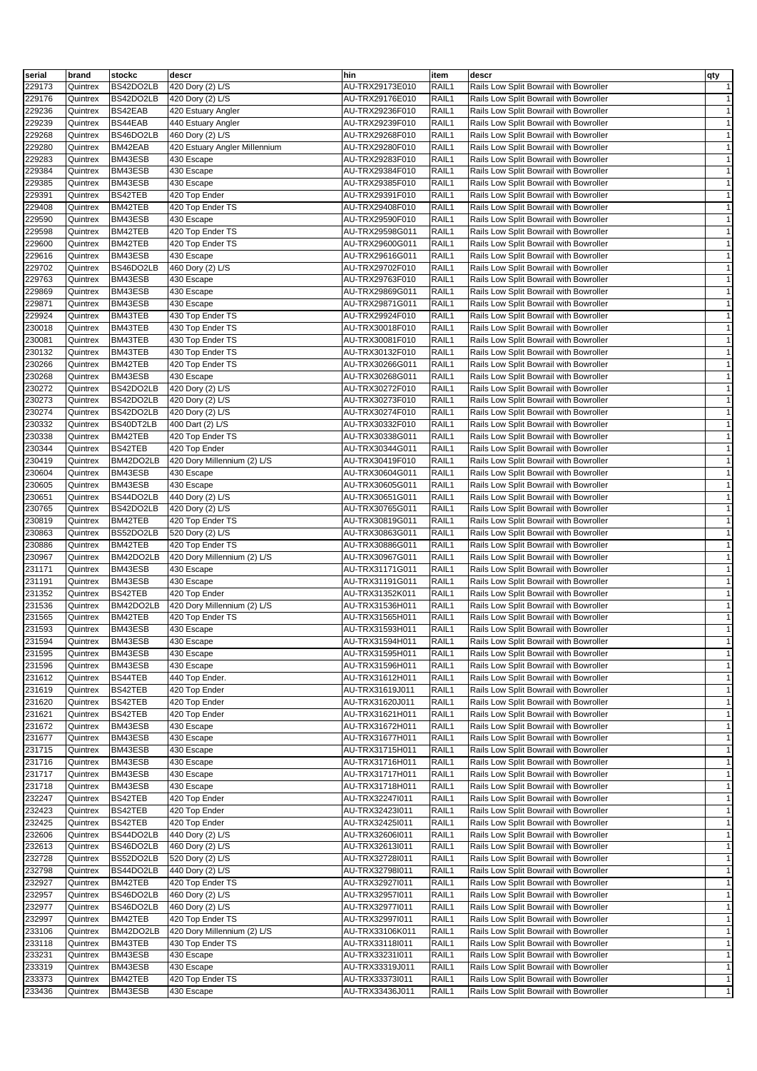| serial           | brand                | stockc                 | descr                                        | hin                                | item           | descr                                                                            | qty                          |
|------------------|----------------------|------------------------|----------------------------------------------|------------------------------------|----------------|----------------------------------------------------------------------------------|------------------------------|
| 229173           | Quintrex             | BS42DO2LB              | 420 Dory (2) L/S                             | AU-TRX29173E010                    | RAIL1          | Rails Low Split Bowrail with Bowroller                                           | $\mathbf{1}$                 |
| 229176           | Quintrex             | BS42DO2LB              | 420 Dory (2) L/S                             | AU-TRX29176E010                    | RAIL1          | Rails Low Split Bowrail with Bowroller                                           | $\mathbf{1}$                 |
| 229236           | Quintrex             | BS42EAB                | 420 Estuary Angler                           | AU-TRX29236F010                    | RAIL1          | Rails Low Split Bowrail with Bowroller                                           | $\mathbf{1}$                 |
| 229239           | Quintrex             | BS44EAB                | 440 Estuary Angler                           | AU-TRX29239F010                    | RAIL1          | Rails Low Split Bowrail with Bowroller                                           | $\mathbf{1}$                 |
| 229268           | Quintrex             | BS46DO2LB              | 460 Dory (2) L/S                             | AU-TRX29268F010                    | RAIL1          | Rails Low Split Bowrail with Bowroller                                           | $\mathbf{1}$                 |
| 229280           | Quintrex             | BM42EAB                | 420 Estuary Angler Millennium                | AU-TRX29280F010                    | RAIL1          | Rails Low Split Bowrail with Bowroller                                           | $\mathbf{1}$                 |
| 229283           | Quintrex             | BM43ESB                | 430 Escape                                   | AU-TRX29283F010                    | RAIL1          | Rails Low Split Bowrail with Bowroller                                           | $\mathbf{1}$                 |
| 229384           | Quintrex             | BM43ESB                | 430 Escape                                   | AU-TRX29384F010                    | RAIL1          | Rails Low Split Bowrail with Bowroller                                           | $\mathbf{1}$                 |
| 229385           | Quintrex             | BM43ESB                | 430 Escape                                   | AU-TRX29385F010                    | RAIL1          | Rails Low Split Bowrail with Bowroller                                           | $\mathbf{1}$                 |
| 229391<br>229408 | Quintrex<br>Quintrex | BS42TEB<br>BM42TEB     | 420 Top Ender<br>420 Top Ender TS            | AU-TRX29391F010<br>AU-TRX29408F010 | RAIL1<br>RAIL1 | Rails Low Split Bowrail with Bowroller<br>Rails Low Split Bowrail with Bowroller | $\mathbf{1}$<br>$\mathbf{1}$ |
| 229590           | Quintrex             | BM43ESB                | 430 Escape                                   | AU-TRX29590F010                    | RAIL1          | Rails Low Split Bowrail with Bowroller                                           | $\mathbf{1}$                 |
| 229598           | Quintrex             | BM42TEB                | 420 Top Ender TS                             | AU-TRX29598G011                    | RAIL1          | Rails Low Split Bowrail with Bowroller                                           | $\mathbf{1}$                 |
| 229600           | Quintrex             | BM42TEB                | 420 Top Ender TS                             | AU-TRX29600G011                    | RAIL1          | Rails Low Split Bowrail with Bowroller                                           | $\mathbf{1}$                 |
| 229616           | Quintrex             | BM43ESB                | 430 Escape                                   | AU-TRX29616G011                    | RAIL1          | Rails Low Split Bowrail with Bowroller                                           | $\mathbf{1}$                 |
| 229702           | Quintrex             | BS46DO2LB              | 460 Dory (2) L/S                             | AU-TRX29702F010                    | RAIL1          | Rails Low Split Bowrail with Bowroller                                           | $\mathbf{1}$                 |
| 229763           | Quintrex             | BM43ESB                | 430 Escape                                   | AU-TRX29763F010                    | RAIL1          | Rails Low Split Bowrail with Bowroller                                           | $\mathbf{1}$                 |
| 229869           | Quintrex             | BM43ESB                | 430 Escape                                   | AU-TRX29869G011                    | RAIL1          | Rails Low Split Bowrail with Bowroller                                           | $\mathbf{1}$                 |
| 229871           | Quintrex             | BM43ESB                | 430 Escape                                   | AU-TRX29871G011                    | RAIL1          | Rails Low Split Bowrail with Bowroller                                           | $\mathbf{1}$                 |
| 229924           | Quintrex             | BM43TEB                | 430 Top Ender TS                             | AU-TRX29924F010                    | RAIL1          | Rails Low Split Bowrail with Bowroller                                           | $\mathbf{1}$                 |
| 230018           | Quintrex             | BM43TEB                | 430 Top Ender TS                             | AU-TRX30018F010                    | RAIL1          | Rails Low Split Bowrail with Bowroller                                           | $\mathbf{1}$                 |
| 230081           | Quintrex             | BM43TEB                | 430 Top Ender TS                             | AU-TRX30081F010                    | RAIL1          | Rails Low Split Bowrail with Bowroller                                           | $\mathbf{1}$                 |
| 230132           | Quintrex             | BM43TEB                | 430 Top Ender TS                             | AU-TRX30132F010                    | RAIL1          | Rails Low Split Bowrail with Bowroller                                           | $\mathbf{1}$                 |
| 230266           | Quintrex             | BM42TEB                | 420 Top Ender TS                             | AU-TRX30266G011                    | RAIL1          | Rails Low Split Bowrail with Bowroller                                           | $\mathbf{1}$                 |
| 230268           | Quintrex             | BM43ESB                | 430 Escape                                   | AU-TRX30268G011                    | RAIL1          | Rails Low Split Bowrail with Bowroller                                           | $\mathbf{1}$                 |
| 230272<br>230273 | Quintrex             | BS42DO2LB<br>BS42DO2LB | 420 Dory (2) L/S<br>420 Dory (2) L/S         | AU-TRX30272F010<br>AU-TRX30273F010 | RAIL1<br>RAIL1 | Rails Low Split Bowrail with Bowroller<br>Rails Low Split Bowrail with Bowroller | $\mathbf{1}$<br>$\mathbf{1}$ |
| 230274           | Quintrex<br>Quintrex | BS42DO2LB              | 420 Dory (2) L/S                             | AU-TRX30274F010                    | RAIL1          | Rails Low Split Bowrail with Bowroller                                           | $\mathbf{1}$                 |
| 230332           | Quintrex             | BS40DT2LB              | 400 Dart (2) L/S                             | AU-TRX30332F010                    | RAIL1          | Rails Low Split Bowrail with Bowroller                                           | $\mathbf{1}$                 |
| 230338           | Quintrex             | BM42TEB                | 420 Top Ender TS                             | AU-TRX30338G011                    | RAIL1          | Rails Low Split Bowrail with Bowroller                                           | $\mathbf{1}$                 |
| 230344           | Quintrex             | BS42TEB                | 420 Top Ender                                | AU-TRX30344G011                    | RAIL1          | Rails Low Split Bowrail with Bowroller                                           | $\mathbf{1}$                 |
| 230419           | Quintrex             | BM42DO2LB              | 420 Dory Millennium (2) L/S                  | AU-TRX30419F010                    | RAIL1          | Rails Low Split Bowrail with Bowroller                                           | $\mathbf{1}$                 |
| 230604           | Quintrex             | BM43ESB                | 430 Escape                                   | AU-TRX30604G011                    | RAIL1          | Rails Low Split Bowrail with Bowroller                                           | $\mathbf{1}$                 |
| 230605           | Quintrex             | BM43ESB                | 430 Escape                                   | AU-TRX30605G011                    | RAIL1          | Rails Low Split Bowrail with Bowroller                                           | $\mathbf{1}$                 |
| 230651           | Quintrex             | BS44DO2LB              | 440 Dory (2) L/S                             | AU-TRX30651G011                    | RAIL1          | Rails Low Split Bowrail with Bowroller                                           | $\mathbf{1}$                 |
| 230765           | Quintrex             | BS42DO2LB              | 420 Dory (2) L/S                             | AU-TRX30765G011                    | RAIL1          | Rails Low Split Bowrail with Bowroller                                           | $\mathbf{1}$                 |
| 230819           | Quintrex             | BM42TEB                | 420 Top Ender TS                             | AU-TRX30819G011                    | RAIL1          | Rails Low Split Bowrail with Bowroller                                           | $\mathbf{1}$                 |
| 230863           | Quintrex             | BS52DO2LB              | 520 Dory (2) L/S                             | AU-TRX30863G011                    | RAIL1          | Rails Low Split Bowrail with Bowroller                                           | $\mathbf{1}$                 |
| 230886           | Quintrex             | BM42TEB                | 420 Top Ender TS                             | AU-TRX30886G011                    | RAIL1          | Rails Low Split Bowrail with Bowroller                                           | $\mathbf{1}$                 |
| 230967           | Quintrex             | BM42DO2LB              | 420 Dory Millennium (2) L/S                  | AU-TRX30967G011                    | RAIL1          | Rails Low Split Bowrail with Bowroller                                           | $\mathbf{1}$                 |
| 231171           | Quintrex             | BM43ESB                | 430 Escape                                   | AU-TRX31171G011                    | RAIL1          | Rails Low Split Bowrail with Bowroller                                           | $\mathbf{1}$                 |
| 231191           | Quintrex             | BM43ESB                | 430 Escape                                   | AU-TRX31191G011                    | RAIL1          | Rails Low Split Bowrail with Bowroller                                           | $\mathbf{1}$<br>$\mathbf{1}$ |
| 231352<br>231536 | Quintrex<br>Quintrex | BS42TEB<br>BM42DO2LB   | 420 Top Ender<br>420 Dory Millennium (2) L/S | AU-TRX31352K011<br>AU-TRX31536H011 | RAIL1<br>RAIL1 | Rails Low Split Bowrail with Bowroller<br>Rails Low Split Bowrail with Bowroller | $\mathbf{1}$                 |
| 231565           | Quintrex             | BM42TEB                | 420 Top Ender TS                             | AU-TRX31565H011                    | RAIL1          | Rails Low Split Bowrail with Bowroller                                           | $\mathbf{1}$                 |
| 231593           | Quintrex             | BM43ESB                | 430 Escape                                   | AU-TRX31593H011                    | RAIL1          | Rails Low Split Bowrail with Bowroller                                           | $\mathbf{1}$                 |
| 231594           | Quintrex             | BM43ESB                | 430 Escape                                   | AU-TRX31594H011                    | RAIL1          | Rails Low Split Bowrail with Bowroller                                           | $\mathbf{1}$                 |
| 231595           | Quintrex             | BM43ESB                | 430 Escape                                   | AU-TRX31595H011                    | RAIL1          | Rails Low Split Bowrail with Bowroller                                           | $\mathbf{1}$                 |
| 231596           | Quintrex             | BM43ESB                | 430 Escape                                   | AU-TRX31596H011                    | RAIL1          | Rails Low Split Bowrail with Bowroller                                           | $\mathbf{1}$                 |
| 231612           | Quintrex             | BS44TEB                | 440 Top Ender.                               | AU-TRX31612H011                    | RAIL1          | Rails Low Split Bowrail with Bowroller                                           | $\mathbf{1}$                 |
| 231619           | Quintrex             | BS42TEB                | 420 Top Ender                                | AU-TRX31619J011                    | RAIL1          | Rails Low Split Bowrail with Bowroller                                           | $\mathbf{1}$                 |
| 231620           | Quintrex             | BS42TEB                | 420 Top Ender                                | AU-TRX31620J011                    | RAIL1          | Rails Low Split Bowrail with Bowroller                                           | $\mathbf{1}$                 |
| 231621           | Quintrex             | BS42TEB                | 420 Top Ender                                | AU-TRX31621H011                    | RAIL1          | Rails Low Split Bowrail with Bowroller                                           | $\mathbf{1}$                 |
| 231672           | Quintrex             | BM43ESB                | 430 Escape                                   | AU-TRX31672H011                    | RAIL1          | Rails Low Split Bowrail with Bowroller                                           | $\mathbf{1}$                 |
| 231677           | Quintrex             | BM43ESB                | 430 Escape                                   | AU-TRX31677H011                    | RAIL1          | Rails Low Split Bowrail with Bowroller                                           | $\mathbf{1}$                 |
| 231715           | Quintrex             | BM43ESB                | 430 Escape                                   | AU-TRX31715H011                    | RAIL1          | Rails Low Split Bowrail with Bowroller                                           | $\mathbf{1}$                 |
| 231716           | Quintrex             | BM43ESB                | 430 Escape                                   | AU-TRX31716H011                    | RAIL1          | Rails Low Split Bowrail with Bowroller                                           | $\mathbf{1}$                 |
| 231717           | Quintrex             | BM43ESB                | 430 Escape                                   | AU-TRX31717H011                    | RAIL1          | Rails Low Split Bowrail with Bowroller                                           | $\mathbf{1}$                 |
| 231718           | Quintrex             | BM43ESB                | 430 Escape                                   | AU-TRX31718H011                    | RAIL1          | Rails Low Split Bowrail with Bowroller                                           | $\mathbf{1}$                 |
| 232247           | Quintrex             | BS42TEB                | 420 Top Ender                                | AU-TRX322471011                    | RAIL1          | Rails Low Split Bowrail with Bowroller                                           | $\mathbf{1}$                 |
| 232423<br>232425 | Quintrex<br>Quintrex | BS42TEB<br>BS42TEB     | 420 Top Ender<br>420 Top Ender               | AU-TRX32423I011<br>AU-TRX32425I011 | RAIL1<br>RAIL1 | Rails Low Split Bowrail with Bowroller<br>Rails Low Split Bowrail with Bowroller | $\mathbf{1}$<br>$\mathbf{1}$ |
| 232606           | Quintrex             | BS44DO2LB              | 440 Dory (2) L/S                             | AU-TRX32606l011                    | RAIL1          | Rails Low Split Bowrail with Bowroller                                           | $\mathbf{1}$                 |
| 232613           | Quintrex             | BS46DO2LB              | 460 Dory (2) L/S                             | AU-TRX32613I011                    | RAIL1          | Rails Low Split Bowrail with Bowroller                                           | $\mathbf{1}$                 |
| 232728           | Quintrex             | BS52DO2LB              | 520 Dory (2) L/S                             | AU-TRX32728l011                    | RAIL1          | Rails Low Split Bowrail with Bowroller                                           | $\mathbf{1}$                 |
| 232798           | Quintrex             | BS44DO2LB              | 440 Dory (2) L/S                             | AU-TRX327981011                    | RAIL1          | Rails Low Split Bowrail with Bowroller                                           | $\mathbf{1}$                 |
| 232927           | Quintrex             | BM42TEB                | 420 Top Ender TS                             | AU-TRX32927I011                    | RAIL1          | Rails Low Split Bowrail with Bowroller                                           | $\mathbf{1}$                 |
| 232957           | Quintrex             | BS46DO2LB              | 460 Dory (2) L/S                             | AU-TRX329571011                    | RAIL1          | Rails Low Split Bowrail with Bowroller                                           | $\mathbf{1}$                 |
| 232977           | Quintrex             | BS46DO2LB              | 460 Dory (2) L/S                             | AU-TRX329771011                    | RAIL1          | Rails Low Split Bowrail with Bowroller                                           | $\mathbf{1}$                 |
| 232997           | Quintrex             | BM42TEB                | 420 Top Ender TS                             | AU-TRX32997I011                    | RAIL1          | Rails Low Split Bowrail with Bowroller                                           | $\mathbf{1}$                 |
| 233106           | Quintrex             | BM42DO2LB              | 420 Dory Millennium (2) L/S                  | AU-TRX33106K011                    | RAIL1          | Rails Low Split Bowrail with Bowroller                                           | $\mathbf{1}$                 |
| 233118           | Quintrex             | BM43TEB                | 430 Top Ender TS                             | AU-TRX33118l011                    | RAIL1          | Rails Low Split Bowrail with Bowroller                                           | $\mathbf{1}$                 |
| 233231           | Quintrex             | BM43ESB                | 430 Escape                                   | AU-TRX33231l011                    | RAIL1          | Rails Low Split Bowrail with Bowroller                                           | $\mathbf{1}$                 |
| 233319           | Quintrex             | BM43ESB                | 430 Escape                                   | AU-TRX33319J011                    | RAIL1          | Rails Low Split Bowrail with Bowroller                                           | $\mathbf{1}$                 |
| 233373           | Quintrex             | BM42TEB                | 420 Top Ender TS                             | AU-TRX33373I011                    | RAIL1          | Rails Low Split Bowrail with Bowroller                                           | $\mathbf{1}$                 |
| 233436           | Quintrex             | BM43ESB                | 430 Escape                                   | AU-TRX33436J011                    | RAIL1          | Rails Low Split Bowrail with Bowroller                                           | $\mathbf{1}$                 |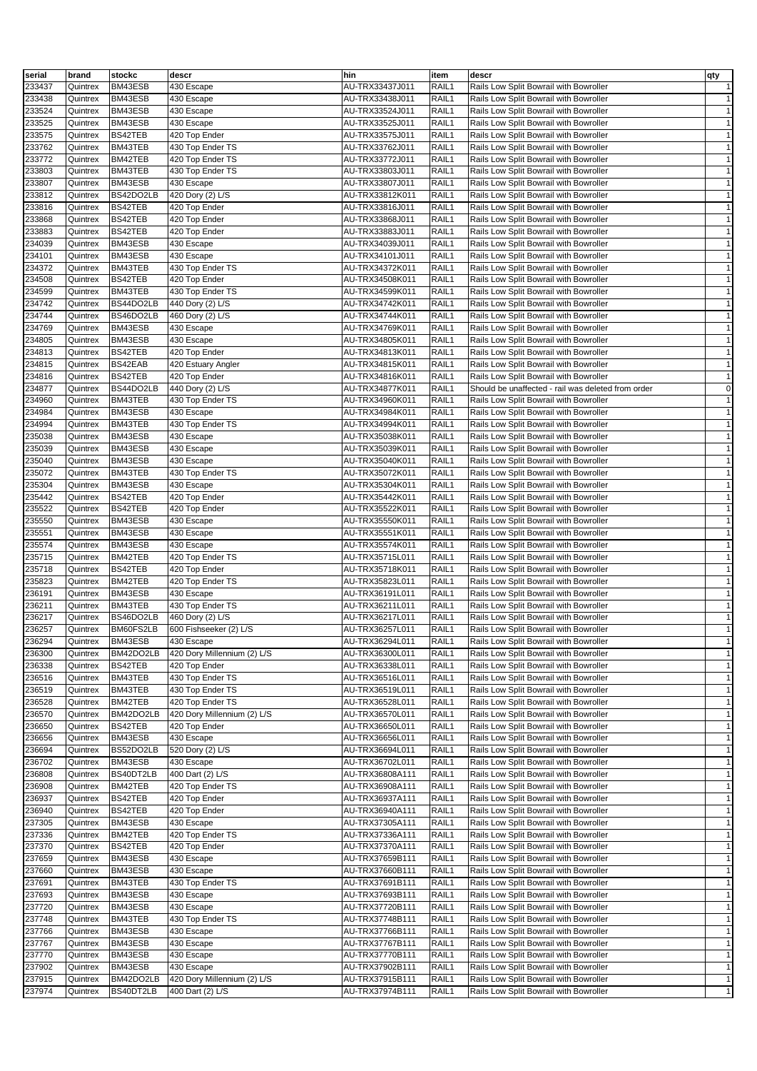| serial | brand    | stockc    | descr                       | hin             | item  | descr                                              | qty          |
|--------|----------|-----------|-----------------------------|-----------------|-------|----------------------------------------------------|--------------|
| 233437 | Quintrex | BM43ESB   | 430 Escape                  | AU-TRX33437J011 | RAIL1 | Rails Low Split Bowrail with Bowroller             | $\mathbf{1}$ |
| 233438 | Quintrex | BM43ESB   | 430 Escape                  | AU-TRX33438J011 | RAIL1 | Rails Low Split Bowrail with Bowroller             | $\mathbf{1}$ |
| 233524 | Quintrex | BM43ESB   | 430 Escape                  | AU-TRX33524J011 | RAIL1 | Rails Low Split Bowrail with Bowroller             | $\mathbf{1}$ |
| 233525 | Quintrex | BM43ESB   | 430 Escape                  | AU-TRX33525J011 | RAIL1 | Rails Low Split Bowrail with Bowroller             | $\mathbf{1}$ |
| 233575 |          | BS42TEB   | 420 Top Ender               | AU-TRX33575J011 | RAIL1 | Rails Low Split Bowrail with Bowroller             | $\mathbf{1}$ |
|        | Quintrex |           |                             |                 |       |                                                    | $\mathbf{1}$ |
| 233762 | Quintrex | BM43TEB   | 430 Top Ender TS            | AU-TRX33762J011 | RAIL1 | Rails Low Split Bowrail with Bowroller             |              |
| 233772 | Quintrex | BM42TEB   | 420 Top Ender TS            | AU-TRX33772J011 | RAIL1 | Rails Low Split Bowrail with Bowroller             | $\mathbf{1}$ |
| 233803 | Quintrex | BM43TEB   | 430 Top Ender TS            | AU-TRX33803J011 | RAIL1 | Rails Low Split Bowrail with Bowroller             | $\mathbf{1}$ |
| 233807 | Quintrex | BM43ESB   | 430 Escape                  | AU-TRX33807J011 | RAIL1 | Rails Low Split Bowrail with Bowroller             | $\mathbf{1}$ |
| 233812 | Quintrex | BS42DO2LB | 420 Dory (2) L/S            | AU-TRX33812K011 | RAIL1 | Rails Low Split Bowrail with Bowroller             | $\mathbf{1}$ |
| 233816 | Quintrex | BS42TEB   | 420 Top Ender               | AU-TRX33816J011 | RAIL1 | Rails Low Split Bowrail with Bowroller             | $\mathbf{1}$ |
| 233868 | Quintrex | BS42TEB   | 420 Top Ender               | AU-TRX33868J011 | RAIL1 | Rails Low Split Bowrail with Bowroller             | $\mathbf{1}$ |
| 233883 | Quintrex | BS42TEB   | 420 Top Ender               | AU-TRX33883J011 | RAIL1 | Rails Low Split Bowrail with Bowroller             | $\mathbf{1}$ |
| 234039 | Quintrex | BM43ESB   | 430 Escape                  | AU-TRX34039J011 | RAIL1 | Rails Low Split Bowrail with Bowroller             | $\mathbf{1}$ |
| 234101 | Quintrex | BM43ESB   | 430 Escape                  | AU-TRX34101J011 | RAIL1 | Rails Low Split Bowrail with Bowroller             | $\mathbf{1}$ |
| 234372 | Quintrex | BM43TEB   | 430 Top Ender TS            | AU-TRX34372K011 | RAIL1 | Rails Low Split Bowrail with Bowroller             | $\mathbf{1}$ |
| 234508 | Quintrex | BS42TEB   | 420 Top Ender               | AU-TRX34508K011 | RAIL1 | Rails Low Split Bowrail with Bowroller             | $\mathbf{1}$ |
| 234599 | Quintrex | BM43TEB   | 430 Top Ender TS            | AU-TRX34599K011 | RAIL1 | Rails Low Split Bowrail with Bowroller             | $\mathbf{1}$ |
| 234742 | Quintrex | BS44DO2LB | 440 Dory (2) L/S            | AU-TRX34742K011 | RAIL1 | Rails Low Split Bowrail with Bowroller             | $\mathbf{1}$ |
| 234744 | Quintrex | BS46DO2LB | 460 Dory (2) L/S            | AU-TRX34744K011 | RAIL1 | Rails Low Split Bowrail with Bowroller             | $\mathbf{1}$ |
| 234769 | Quintrex | BM43ESB   | 430 Escape                  | AU-TRX34769K011 | RAIL1 | Rails Low Split Bowrail with Bowroller             | $\mathbf{1}$ |
| 234805 | Quintrex | BM43ESB   | 430 Escape                  | AU-TRX34805K011 | RAIL1 | Rails Low Split Bowrail with Bowroller             | $\mathbf{1}$ |
| 234813 | Quintrex | BS42TEB   | 420 Top Ender               | AU-TRX34813K011 | RAIL1 | Rails Low Split Bowrail with Bowroller             | $\mathbf{1}$ |
| 234815 | Quintrex | BS42EAB   | 420 Estuary Angler          | AU-TRX34815K011 | RAIL1 | Rails Low Split Bowrail with Bowroller             | $\mathbf{1}$ |
| 234816 | Quintrex | BS42TEB   | 420 Top Ender               | AU-TRX34816K011 | RAIL1 | Rails Low Split Bowrail with Bowroller             | $\mathbf{1}$ |
| 234877 | Quintrex | BS44DO2LB | 440 Dory (2) L/S            | AU-TRX34877K011 | RAIL1 | Should be unaffected - rail was deleted from order | $\mathsf 0$  |
| 234960 | Quintrex | BM43TEB   | 430 Top Ender TS            | AU-TRX34960K011 | RAIL1 | Rails Low Split Bowrail with Bowroller             | $\mathbf{1}$ |
| 234984 | Quintrex | BM43ESB   | 430 Escape                  | AU-TRX34984K011 | RAIL1 | Rails Low Split Bowrail with Bowroller             | $\mathbf{1}$ |
| 234994 | Quintrex | BM43TEB   | 430 Top Ender TS            | AU-TRX34994K011 | RAIL1 | Rails Low Split Bowrail with Bowroller             | $\mathbf{1}$ |
| 235038 | Quintrex | BM43ESB   | 430 Escape                  | AU-TRX35038K011 | RAIL1 | Rails Low Split Bowrail with Bowroller             | $\mathbf{1}$ |
| 235039 | Quintrex | BM43ESB   | 430 Escape                  | AU-TRX35039K011 | RAIL1 | Rails Low Split Bowrail with Bowroller             | $\mathbf{1}$ |
| 235040 | Quintrex | BM43ESB   | 430 Escape                  | AU-TRX35040K011 | RAIL1 | Rails Low Split Bowrail with Bowroller             | $\mathbf{1}$ |
| 235072 | Quintrex | BM43TEB   | 430 Top Ender TS            | AU-TRX35072K011 | RAIL1 | Rails Low Split Bowrail with Bowroller             | $\mathbf{1}$ |
| 235304 | Quintrex | BM43ESB   | 430 Escape                  | AU-TRX35304K011 | RAIL1 | Rails Low Split Bowrail with Bowroller             | $\mathbf{1}$ |
| 235442 | Quintrex | BS42TEB   | 420 Top Ender               | AU-TRX35442K011 | RAIL1 | Rails Low Split Bowrail with Bowroller             | $\mathbf{1}$ |
| 235522 | Quintrex | BS42TEB   | 420 Top Ender               | AU-TRX35522K011 | RAIL1 | Rails Low Split Bowrail with Bowroller             | $\mathbf{1}$ |
| 235550 | Quintrex | BM43ESB   | 430 Escape                  | AU-TRX35550K011 | RAIL1 | Rails Low Split Bowrail with Bowroller             | $\mathbf{1}$ |
| 235551 | Quintrex | BM43ESB   | 430 Escape                  | AU-TRX35551K011 | RAIL1 | Rails Low Split Bowrail with Bowroller             | $\mathbf{1}$ |
| 235574 | Quintrex | BM43ESB   | 430 Escape                  | AU-TRX35574K011 | RAIL1 | Rails Low Split Bowrail with Bowroller             | $\mathbf{1}$ |
| 235715 | Quintrex | BM42TEB   | 420 Top Ender TS            | AU-TRX35715L011 | RAIL1 | Rails Low Split Bowrail with Bowroller             | $\mathbf{1}$ |
| 235718 | Quintrex | BS42TEB   | 420 Top Ender               | AU-TRX35718K011 | RAIL1 | Rails Low Split Bowrail with Bowroller             | $\mathbf{1}$ |
| 235823 | Quintrex | BM42TEB   | 420 Top Ender TS            | AU-TRX35823L011 | RAIL1 | Rails Low Split Bowrail with Bowroller             | $\mathbf{1}$ |
| 236191 | Quintrex | BM43ESB   | 430 Escape                  | AU-TRX36191L011 | RAIL1 | Rails Low Split Bowrail with Bowroller             | $\mathbf{1}$ |
| 236211 | Quintrex | BM43TEB   | 430 Top Ender TS            | AU-TRX36211L011 | RAIL1 | Rails Low Split Bowrail with Bowroller             | $\mathbf{1}$ |
| 236217 | Quintrex | BS46DO2LB | 460 Dory (2) L/S            | AU-TRX36217L011 | RAIL1 | Rails Low Split Bowrail with Bowroller             | $\mathbf{1}$ |
| 236257 | Quintrex | BM60FS2LB | 600 Fishseeker (2) L/S      | AU-TRX36257L011 | RAIL1 | Rails Low Split Bowrail with Bowroller             | $\mathbf{1}$ |
| 236294 | Quintrex | BM43ESB   | 430 Escape                  | AU-TRX36294L011 | RAIL1 | Rails Low Split Bowrail with Bowroller             | $\mathbf{1}$ |
| 236300 | Quintrex | BM42DO2LB | 420 Dory Millennium (2) L/S | AU-TRX36300L011 | RAIL1 | Rails Low Split Bowrail with Bowroller             | $\mathbf{1}$ |
| 236338 | Quintrex | BS42TEB   | 420 Top Ender               | AU-TRX36338L011 | RAIL1 | Rails Low Split Bowrail with Bowroller             | $\mathbf{1}$ |
| 236516 | Quintrex | BM43TEB   | 430 Top Ender TS            | AU-TRX36516L011 | RAIL1 | Rails Low Split Bowrail with Bowroller             | $\mathbf{1}$ |
| 236519 | Quintrex | BM43TEB   | 430 Top Ender TS            | AU-TRX36519L011 | RAIL1 | Rails Low Split Bowrail with Bowroller             | $\mathbf{1}$ |
| 236528 | Quintrex | BM42TEB   | 420 Top Ender TS            | AU-TRX36528L011 | RAIL1 | Rails Low Split Bowrail with Bowroller             | $\mathbf{1}$ |
| 236570 | Quintrex | BM42DO2LB | 420 Dory Millennium (2) L/S | AU-TRX36570L011 | RAIL1 | Rails Low Split Bowrail with Bowroller             | $\mathbf{1}$ |
| 236650 | Quintrex | BS42TEB   | 420 Top Ender               | AU-TRX36650L011 | RAIL1 | Rails Low Split Bowrail with Bowroller             | $\mathbf{1}$ |
| 236656 | Quintrex | BM43ESB   | 430 Escape                  | AU-TRX36656L011 | RAIL1 | Rails Low Split Bowrail with Bowroller             | $\mathbf{1}$ |
| 236694 | Quintrex | BS52DO2LB | 520 Dory (2) L/S            | AU-TRX36694L011 | RAIL1 | Rails Low Split Bowrail with Bowroller             | $\mathbf{1}$ |
| 236702 | Quintrex | BM43ESB   | 430 Escape                  | AU-TRX36702L011 | RAIL1 | Rails Low Split Bowrail with Bowroller             | $\mathbf{1}$ |
| 236808 | Quintrex | BS40DT2LB | 400 Dart (2) L/S            | AU-TRX36808A111 | RAIL1 | Rails Low Split Bowrail with Bowroller             | $\mathbf{1}$ |
| 236908 | Quintrex | BM42TEB   | 420 Top Ender TS            | AU-TRX36908A111 | RAIL1 | Rails Low Split Bowrail with Bowroller             | $\mathbf{1}$ |
| 236937 | Quintrex | BS42TEB   | 420 Top Ender               | AU-TRX36937A111 | RAIL1 | Rails Low Split Bowrail with Bowroller             | $\mathbf{1}$ |
| 236940 | Quintrex | BS42TEB   | 420 Top Ender               | AU-TRX36940A111 | RAIL1 | Rails Low Split Bowrail with Bowroller             | $\mathbf{1}$ |
| 237305 | Quintrex | BM43ESB   | 430 Escape                  | AU-TRX37305A111 | RAIL1 | Rails Low Split Bowrail with Bowroller             | $\mathbf{1}$ |
| 237336 | Quintrex | BM42TEB   | 420 Top Ender TS            | AU-TRX37336A111 | RAIL1 | Rails Low Split Bowrail with Bowroller             | $\mathbf{1}$ |
| 237370 | Quintrex | BS42TEB   | 420 Top Ender               | AU-TRX37370A111 | RAIL1 | Rails Low Split Bowrail with Bowroller             | $\mathbf{1}$ |
| 237659 | Quintrex | BM43ESB   | 430 Escape                  | AU-TRX37659B111 | RAIL1 | Rails Low Split Bowrail with Bowroller             | $\mathbf{1}$ |
| 237660 | Quintrex | BM43ESB   | 430 Escape                  | AU-TRX37660B111 | RAIL1 | Rails Low Split Bowrail with Bowroller             | $\mathbf{1}$ |
| 237691 | Quintrex | BM43TEB   | 430 Top Ender TS            | AU-TRX37691B111 | RAIL1 | Rails Low Split Bowrail with Bowroller             | $\mathbf{1}$ |
| 237693 | Quintrex | BM43ESB   | 430 Escape                  | AU-TRX37693B111 | RAIL1 | Rails Low Split Bowrail with Bowroller             | $\mathbf{1}$ |
| 237720 | Quintrex | BM43ESB   | 430 Escape                  | AU-TRX37720B111 | RAIL1 | Rails Low Split Bowrail with Bowroller             | $\mathbf{1}$ |
| 237748 | Quintrex | BM43TEB   | 430 Top Ender TS            | AU-TRX37748B111 | RAIL1 | Rails Low Split Bowrail with Bowroller             | $\mathbf{1}$ |
| 237766 | Quintrex | BM43ESB   | 430 Escape                  | AU-TRX37766B111 | RAIL1 | Rails Low Split Bowrail with Bowroller             | $\mathbf{1}$ |
| 237767 | Quintrex | BM43ESB   | 430 Escape                  | AU-TRX37767B111 | RAIL1 | Rails Low Split Bowrail with Bowroller             | $\mathbf{1}$ |
| 237770 | Quintrex | BM43ESB   | 430 Escape                  | AU-TRX37770B111 | RAIL1 | Rails Low Split Bowrail with Bowroller             | $\mathbf{1}$ |
| 237902 | Quintrex | BM43ESB   | 430 Escape                  | AU-TRX37902B111 | RAIL1 | Rails Low Split Bowrail with Bowroller             | $\mathbf{1}$ |
| 237915 | Quintrex | BM42DO2LB | 420 Dory Millennium (2) L/S | AU-TRX37915B111 | RAIL1 | Rails Low Split Bowrail with Bowroller             | $\mathbf{1}$ |
| 237974 | Quintrex | BS40DT2LB | 400 Dart (2) L/S            | AU-TRX37974B111 | RAIL1 | Rails Low Split Bowrail with Bowroller             | $\mathbf{1}$ |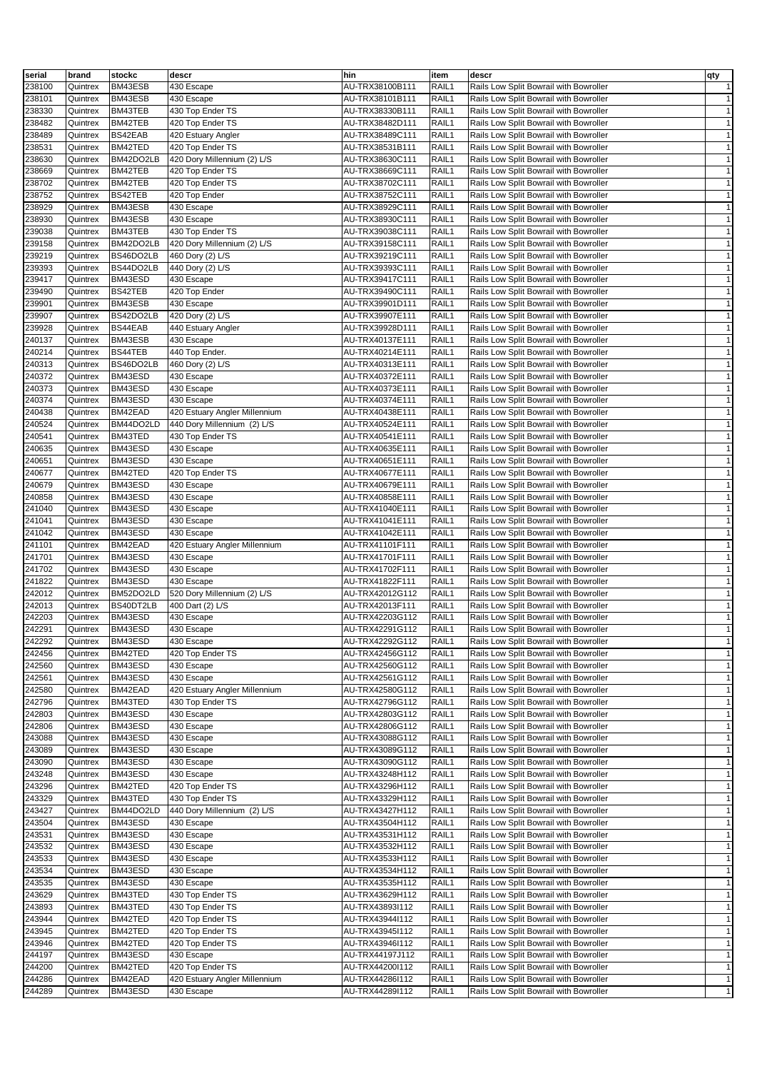| serial           | brand                | stockc               | descr                          | hin                                | item           | descr                                                                            | qty                          |
|------------------|----------------------|----------------------|--------------------------------|------------------------------------|----------------|----------------------------------------------------------------------------------|------------------------------|
| 238100           | Quintrex             | BM43ESB              | 430 Escape                     | AU-TRX38100B111                    | RAIL1          | Rails Low Split Bowrail with Bowroller                                           | $\mathbf{1}$                 |
| 238101           | Quintrex             | BM43ESB              | 430 Escape                     | AU-TRX38101B111                    | RAIL1          | Rails Low Split Bowrail with Bowroller                                           | $\mathbf{1}$                 |
| 238330           | Quintrex             | BM43TEB              | 430 Top Ender TS               | AU-TRX38330B111                    | RAIL1          | Rails Low Split Bowrail with Bowroller                                           | $\mathbf{1}$                 |
| 238482           | Quintrex             | BM42TEB              | 420 Top Ender TS               | AU-TRX38482D111                    | RAIL1          | Rails Low Split Bowrail with Bowroller                                           | $\mathbf{1}$                 |
| 238489           | Quintrex             | BS42EAB              | 420 Estuary Angler             | AU-TRX38489C111                    | RAIL1          | Rails Low Split Bowrail with Bowroller                                           | $\mathbf{1}$                 |
| 238531           | Quintrex             | BM42TED              | 420 Top Ender TS               | AU-TRX38531B111                    | RAIL1          | Rails Low Split Bowrail with Bowroller                                           | $\mathbf{1}$                 |
| 238630           | Quintrex             | BM42DO2LB            | 420 Dory Millennium (2) L/S    | AU-TRX38630C111                    | RAIL1          | Rails Low Split Bowrail with Bowroller                                           | $\mathbf{1}$                 |
| 238669           | Quintrex             | BM42TEB              | 420 Top Ender TS               | AU-TRX38669C111                    | RAIL1          | Rails Low Split Bowrail with Bowroller                                           | $\mathbf{1}$                 |
| 238702           | Quintrex             | BM42TEB              | 420 Top Ender TS               | AU-TRX38702C111                    | RAIL1          | Rails Low Split Bowrail with Bowroller                                           | $\mathbf{1}$                 |
| 238752           | Quintrex             | BS42TEB              | 420 Top Ender                  | AU-TRX38752C111                    | RAIL1          | Rails Low Split Bowrail with Bowroller                                           | $\mathbf{1}$                 |
| 238929           | Quintrex             | BM43ESB              | 430 Escape                     | AU-TRX38929C111                    | RAIL1          | Rails Low Split Bowrail with Bowroller                                           | $\mathbf{1}$                 |
| 238930           | Quintrex             | BM43ESB              | 430 Escape                     | AU-TRX38930C111                    | RAIL1          | Rails Low Split Bowrail with Bowroller                                           | $\mathbf{1}$                 |
| 239038           | Quintrex             | BM43TEB              | 430 Top Ender TS               | AU-TRX39038C111                    | RAIL1          | Rails Low Split Bowrail with Bowroller                                           | $\mathbf{1}$                 |
| 239158           | Quintrex             | BM42DO2LB            | 420 Dory Millennium (2) L/S    | AU-TRX39158C111                    | RAIL1          | Rails Low Split Bowrail with Bowroller                                           | $\mathbf{1}$                 |
| 239219           | Quintrex             | BS46DO2LB            | 460 Dory (2) L/S               | AU-TRX39219C111                    | RAIL1          | Rails Low Split Bowrail with Bowroller                                           | $\mathbf{1}$                 |
| 239393           | Quintrex             | BS44DO2LB            | 440 Dory (2) L/S               | AU-TRX39393C111                    | RAIL1          | Rails Low Split Bowrail with Bowroller                                           | $\mathbf{1}$                 |
| 239417           | Quintrex             | BM43ESD              | 430 Escape                     | AU-TRX39417C111                    | RAIL1          | Rails Low Split Bowrail with Bowroller                                           | $\mathbf{1}$                 |
| 239490           | Quintrex             | BS42TEB              | 420 Top Ender                  | AU-TRX39490C111                    | RAIL1          | Rails Low Split Bowrail with Bowroller                                           | $\mathbf{1}$                 |
| 239901           | Quintrex             | BM43ESB              | 430 Escape                     | AU-TRX39901D111                    | RAIL1          | Rails Low Split Bowrail with Bowroller                                           | $\mathbf{1}$                 |
| 239907           | Quintrex             | BS42DO2LB            | 420 Dory (2) L/S               | AU-TRX39907E111                    | RAIL1          | Rails Low Split Bowrail with Bowroller                                           | $\mathbf{1}$                 |
| 239928           | Quintrex             | BS44EAB              | 440 Estuary Angler             | AU-TRX39928D111                    | RAIL1          | Rails Low Split Bowrail with Bowroller                                           | $\mathbf{1}$                 |
| 240137           | Quintrex             | BM43ESB              | 430 Escape                     | AU-TRX40137E111                    | RAIL1          | Rails Low Split Bowrail with Bowroller                                           | $\mathbf{1}$                 |
| 240214<br>240313 | Quintrex             | BS44TEB<br>BS46DO2LB | 440 Top Ender.                 | AU-TRX40214E111                    | RAIL1<br>RAIL1 | Rails Low Split Bowrail with Bowroller<br>Rails Low Split Bowrail with Bowroller | $\mathbf{1}$<br>$\mathbf{1}$ |
| 240372           | Quintrex<br>Quintrex | BM43ESD              | 460 Dory (2) L/S<br>430 Escape | AU-TRX40313E111<br>AU-TRX40372E111 | RAIL1          | Rails Low Split Bowrail with Bowroller                                           | $\mathbf{1}$                 |
| 240373           | Quintrex             | BM43ESD              | 430 Escape                     | AU-TRX40373E111                    | RAIL1          | Rails Low Split Bowrail with Bowroller                                           | $\mathbf{1}$                 |
| 240374           | Quintrex             | BM43ESD              | 430 Escape                     | AU-TRX40374E111                    | RAIL1          | Rails Low Split Bowrail with Bowroller                                           | $\mathbf{1}$                 |
| 240438           | Quintrex             | BM42EAD              | 420 Estuary Angler Millennium  | AU-TRX40438E111                    | RAIL1          | Rails Low Split Bowrail with Bowroller                                           | $\mathbf{1}$                 |
| 240524           | Quintrex             | BM44DO2LD            | 440 Dory Millennium (2) L/S    | AU-TRX40524E111                    | RAIL1          | Rails Low Split Bowrail with Bowroller                                           | $\mathbf{1}$                 |
| 240541           | Quintrex             | BM43TED              | 430 Top Ender TS               | AU-TRX40541E111                    | RAIL1          | Rails Low Split Bowrail with Bowroller                                           | $\mathbf{1}$                 |
| 240635           | Quintrex             | BM43ESD              | 430 Escape                     | AU-TRX40635E111                    | RAIL1          | Rails Low Split Bowrail with Bowroller                                           | $\mathbf{1}$                 |
| 240651           | Quintrex             | BM43ESD              | 430 Escape                     | AU-TRX40651E111                    | RAIL1          | Rails Low Split Bowrail with Bowroller                                           | $\mathbf{1}$                 |
| 240677           | Quintrex             | BM42TED              | 420 Top Ender TS               | AU-TRX40677E111                    | RAIL1          | Rails Low Split Bowrail with Bowroller                                           | $\mathbf{1}$                 |
| 240679           | Quintrex             | BM43ESD              | 430 Escape                     | AU-TRX40679E111                    | RAIL1          | Rails Low Split Bowrail with Bowroller                                           | $\mathbf{1}$                 |
| 240858           | Quintrex             | BM43ESD              | 430 Escape                     | AU-TRX40858E111                    | RAIL1          | Rails Low Split Bowrail with Bowroller                                           | $\mathbf{1}$                 |
| 241040           | Quintrex             | BM43ESD              | 430 Escape                     | AU-TRX41040E111                    | RAIL1          | Rails Low Split Bowrail with Bowroller                                           | $\mathbf{1}$                 |
| 241041           | Quintrex             | BM43ESD              | 430 Escape                     | AU-TRX41041E111                    | RAIL1          | Rails Low Split Bowrail with Bowroller                                           | $\mathbf{1}$                 |
| 241042           | Quintrex             | BM43ESD              | 430 Escape                     | AU-TRX41042E111                    | RAIL1          | Rails Low Split Bowrail with Bowroller                                           | $\mathbf{1}$                 |
| 241101           | Quintrex             | BM42EAD              | 420 Estuary Angler Millennium  | AU-TRX41101F111                    | RAIL1          | Rails Low Split Bowrail with Bowroller                                           | $\mathbf{1}$                 |
| 241701           | Quintrex             | BM43ESD              | 430 Escape                     | AU-TRX41701F111                    | RAIL1          | Rails Low Split Bowrail with Bowroller                                           | $\mathbf{1}$                 |
| 241702           | Quintrex             | BM43ESD              | 430 Escape                     | AU-TRX41702F111                    | RAIL1          | Rails Low Split Bowrail with Bowroller                                           | $\mathbf{1}$                 |
| 241822           | Quintrex             | BM43ESD              | 430 Escape                     | AU-TRX41822F111                    | RAIL1          | Rails Low Split Bowrail with Bowroller                                           | $\mathbf{1}$                 |
| 242012           | Quintrex             | BM52DO2LD            | 520 Dory Millennium (2) L/S    | AU-TRX42012G112                    | RAIL1          | Rails Low Split Bowrail with Bowroller                                           | $\mathbf{1}$                 |
| 242013           | Quintrex             | BS40DT2LB            | 400 Dart (2) L/S               | AU-TRX42013F111                    | RAIL1          | Rails Low Split Bowrail with Bowroller                                           | $\mathbf{1}$                 |
| 242203           | Quintrex             | BM43ESD              | 430 Escape                     | AU-TRX42203G112                    | RAIL1          | Rails Low Split Bowrail with Bowroller                                           | $\mathbf{1}$                 |
| 242291           | Quintrex             | BM43ESD              | 430 Escape                     | AU-TRX42291G112                    | RAIL1          | Rails Low Split Bowrail with Bowroller                                           | $\mathbf{1}$                 |
| 242292           | Quintrex             | BM43ESD              | 430 Escape                     | AU-TRX42292G112                    | RAIL1          | Rails Low Split Bowrail with Bowroller                                           | $\mathbf{1}$                 |
| 242456           | Quintrex             | BM42TED              | 420 Top Ender TS               | AU-TRX42456G112                    | RAIL1          | Rails Low Split Bowrail with Bowroller                                           | $\mathbf{1}$                 |
| 242560           | Quintrex             | BM43ESD              | 430 Escape                     | AU-TRX42560G112                    | RAIL1          | Rails Low Split Bowrail with Bowroller                                           | $\mathbf{1}$                 |
| 242561           | Quintrex             | BM43ESD              | 430 Escape                     | AU-TRX42561G112                    | RAIL1          | Rails Low Split Bowrail with Bowroller                                           | $\mathbf{1}$                 |
| 242580           | Quintrex             | BM42EAD              | 420 Estuary Angler Millennium  | AU-TRX42580G112                    | RAIL1          | Rails Low Split Bowrail with Bowroller                                           | $\mathbf{1}$                 |
| 242796           | Quintrex             | BM43TED              | 430 Top Ender TS               | AU-TRX42796G112                    | RAIL1          | Rails Low Split Bowrail with Bowroller                                           | $\mathbf{1}$<br>$\mathbf{1}$ |
| 242803<br>242806 | Quintrex             | BM43ESD              | 430 Escape                     | AU-TRX42803G112                    | RAIL1          | Rails Low Split Bowrail with Bowroller<br>Rails Low Split Bowrail with Bowroller |                              |
| 243088           | Quintrex<br>Quintrex | BM43ESD<br>BM43ESD   | 430 Escape<br>430 Escape       | AU-TRX42806G112<br>AU-TRX43088G112 | RAIL1<br>RAIL1 | Rails Low Split Bowrail with Bowroller                                           | $\mathbf{1}$<br>$\mathbf{1}$ |
| 243089           | Quintrex             | BM43ESD              | 430 Escape                     | AU-TRX43089G112                    | RAIL1          | Rails Low Split Bowrail with Bowroller                                           | $\mathbf{1}$                 |
| 243090           | Quintrex             | BM43ESD              | 430 Escape                     | AU-TRX43090G112                    | RAIL1          | Rails Low Split Bowrail with Bowroller                                           | $\mathbf{1}$                 |
| 243248           | Quintrex             | BM43ESD              | 430 Escape                     | AU-TRX43248H112                    | RAIL1          | Rails Low Split Bowrail with Bowroller                                           | $\mathbf{1}$                 |
| 243296           | Quintrex             | BM42TED              | 420 Top Ender TS               | AU-TRX43296H112                    | RAIL1          | Rails Low Split Bowrail with Bowroller                                           | $\mathbf{1}$                 |
| 243329           | Quintrex             | BM43TED              | 430 Top Ender TS               | AU-TRX43329H112                    | RAIL1          | Rails Low Split Bowrail with Bowroller                                           | $\mathbf{1}$                 |
| 243427           | Quintrex             | BM44DO2LD            | 440 Dory Millennium (2) L/S    | AU-TRX43427H112                    | RAIL1          | Rails Low Split Bowrail with Bowroller                                           | $\mathbf{1}$                 |
| 243504           | Quintrex             | BM43ESD              | 430 Escape                     | AU-TRX43504H112                    | RAIL1          | Rails Low Split Bowrail with Bowroller                                           | $\mathbf{1}$                 |
| 243531           | Quintrex             | BM43ESD              | 430 Escape                     | AU-TRX43531H112                    | RAIL1          | Rails Low Split Bowrail with Bowroller                                           | $\mathbf{1}$                 |
| 243532           | Quintrex             | BM43ESD              | 430 Escape                     | AU-TRX43532H112                    | RAIL1          | Rails Low Split Bowrail with Bowroller                                           | $\mathbf{1}$                 |
| 243533           | Quintrex             | BM43ESD              | 430 Escape                     | AU-TRX43533H112                    | RAIL1          | Rails Low Split Bowrail with Bowroller                                           | $\mathbf{1}$                 |
| 243534           | Quintrex             | BM43ESD              | 430 Escape                     | AU-TRX43534H112                    | RAIL1          | Rails Low Split Bowrail with Bowroller                                           | $\mathbf{1}$                 |
| 243535           | Quintrex             | BM43ESD              | 430 Escape                     | AU-TRX43535H112                    | RAIL1          | Rails Low Split Bowrail with Bowroller                                           | $\mathbf{1}$                 |
| 243629           | Quintrex             | BM43TED              | 430 Top Ender TS               | AU-TRX43629H112                    | RAIL1          | Rails Low Split Bowrail with Bowroller                                           | $\mathbf{1}$                 |
| 243893           | Quintrex             | BM43TED              | 430 Top Ender TS               | AU-TRX43893l112                    | RAIL1          | Rails Low Split Bowrail with Bowroller                                           | $\mathbf{1}$                 |
| 243944           | Quintrex             | BM42TED              | 420 Top Ender TS               | AU-TRX43944I112                    | RAIL1          | Rails Low Split Bowrail with Bowroller                                           | $\mathbf{1}$                 |
| 243945           | Quintrex             | BM42TED              | 420 Top Ender TS               | AU-TRX43945l112                    | RAIL1          | Rails Low Split Bowrail with Bowroller                                           | $\mathbf{1}$                 |
| 243946           | Quintrex             | BM42TED              | 420 Top Ender TS               | AU-TRX43946l112                    | RAIL1          | Rails Low Split Bowrail with Bowroller                                           | $\mathbf{1}$                 |
| 244197           | Quintrex             | BM43ESD              | 430 Escape                     | AU-TRX44197J112                    | RAIL1          | Rails Low Split Bowrail with Bowroller                                           | $\mathbf{1}$                 |
| 244200           | Quintrex             | BM42TED              | 420 Top Ender TS               | AU-TRX44200l112                    | RAIL1          | Rails Low Split Bowrail with Bowroller                                           | $\mathbf{1}$                 |
| 244286           | Quintrex             | BM42EAD              | 420 Estuary Angler Millennium  | AU-TRX44286l112                    | RAIL1          | Rails Low Split Bowrail with Bowroller                                           | $\mathbf{1}$                 |
| 244289           | Quintrex             | BM43ESD              | 430 Escape                     | AU-TRX44289I112                    | RAIL1          | Rails Low Split Bowrail with Bowroller                                           | $\mathbf{1}$                 |